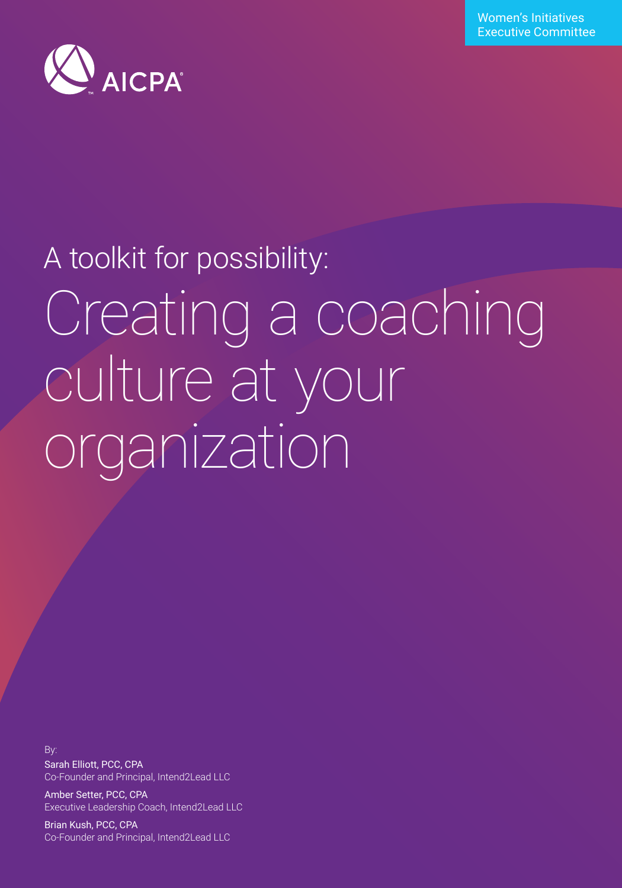Women's Initiatives Executive Committee



# A toolkit for possibility: Creating a coaching culture at your organization

By: Sarah Elliott, PCC, CPA Co-Founder and Principal, Intend2Lead LLC

Amber Setter, PCC, CPA Executive Leadership Coach, Intend2Lead LLC

ытап кизп, РСС, СРА<br>Co-Founder and Principal, Intend2Lead LLC Brian Kush, PCC, CPA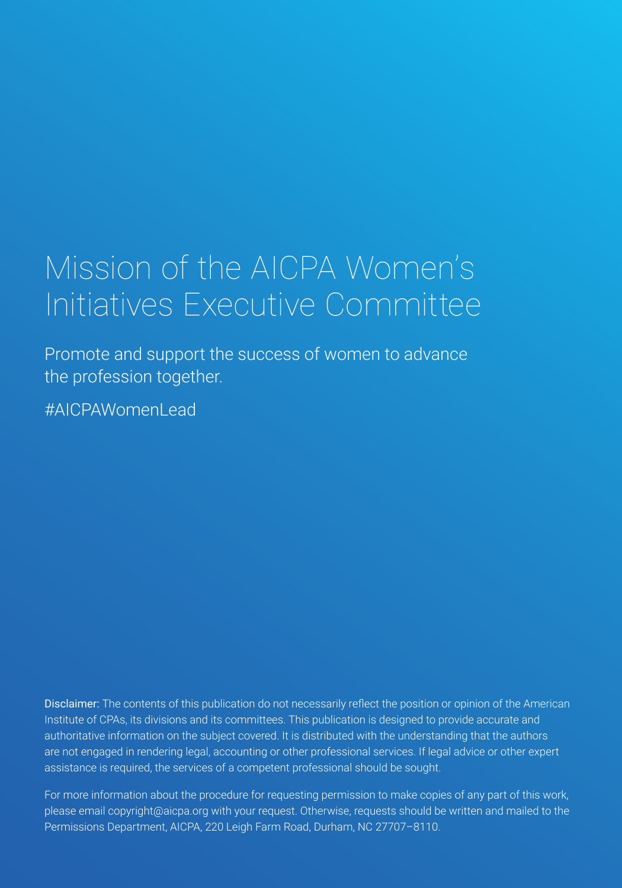## <span id="page-1-0"></span>Mission of the AICPA Women's Initiatives Executive Committee

Promote and support the success of women to advance the profession together.

#AICPAWomenLead

Disclaimer: The contents of this publication do not necessarily reflect the position or opinion of the American Institute of CPAs, its divisions and its committees. This publication is designed to provide accurate and authoritative information on the subject covered. It is distributed with the understanding that the authors are not engaged in rendering legal, accounting or other professional services. If legal advice or other expert assistance is required, the services of a competent professional should be sought.

Permissions Department, AICPA, 220 Leigh Farm Road, Durham, NC 27707–8110. For more information about the procedure for requesting permission to make copies of any part of this work, please email copyright@aicpa.org with your request. Otherwise, requests should be written and mailed to the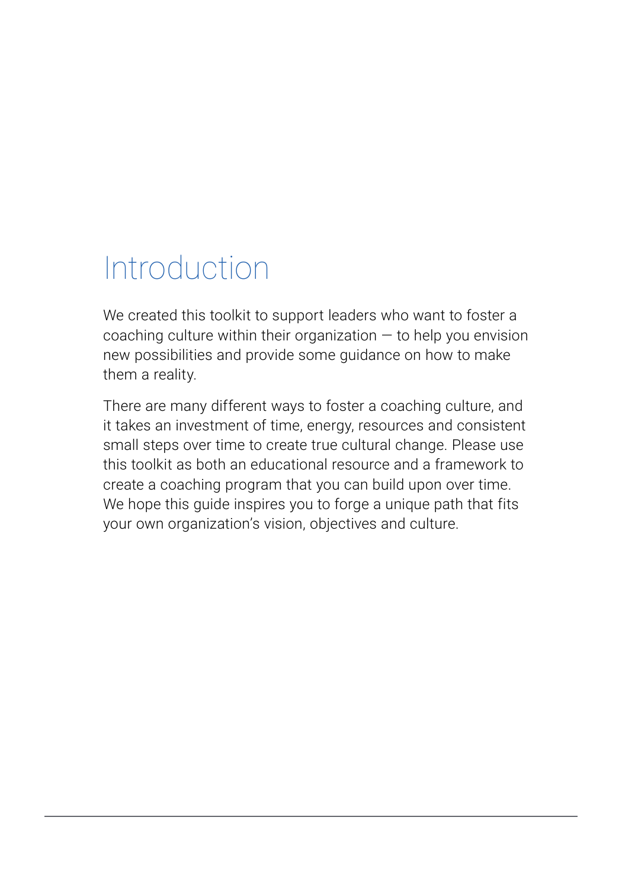## Introduction

We created this toolkit to support leaders who want to foster a coaching culture within their organization  $-$  to help you envision new possibilities and provide some guidance on how to make them a reality.

There are many different ways to foster a coaching culture, and it takes an investment of time, energy, resources and consistent small steps over time to create true cultural change. Please use this toolkit as both an educational resource and a framework to create a coaching program that you can build upon over time. We hope this guide inspires you to forge a unique path that fits your own organization's vision, objectives and culture.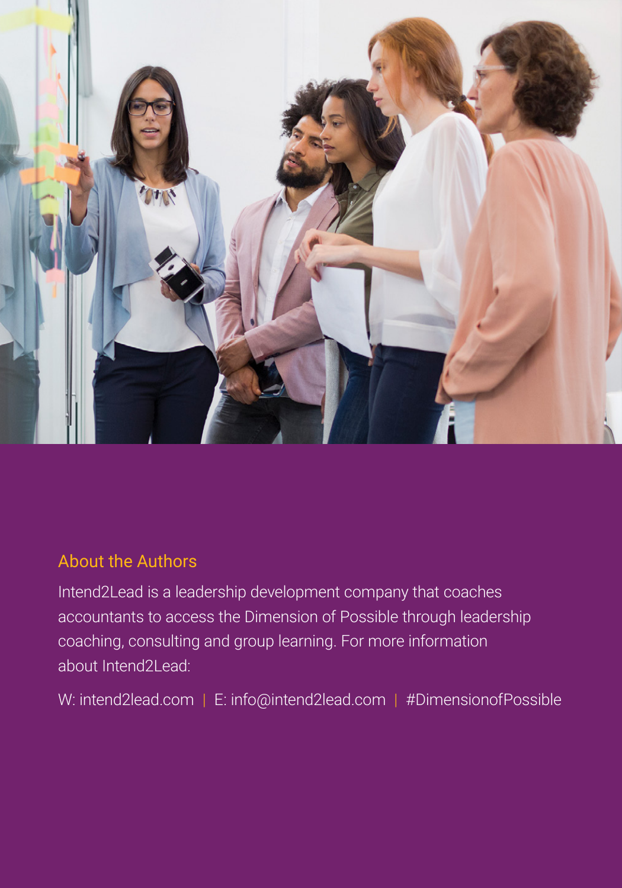<span id="page-3-0"></span>

### About the Authors

Intend2Lead is a leadership development company that coaches accountants to access the Dimension of Possible through leadership coaching, consulting and group learning. For more information about Intend2Lead:

W: [intend2lead.com](http://intend2lead.com) | E: [info@intend2lead.com](mailto:info%40intend2lead.com?subject=) | #DimensionofPossible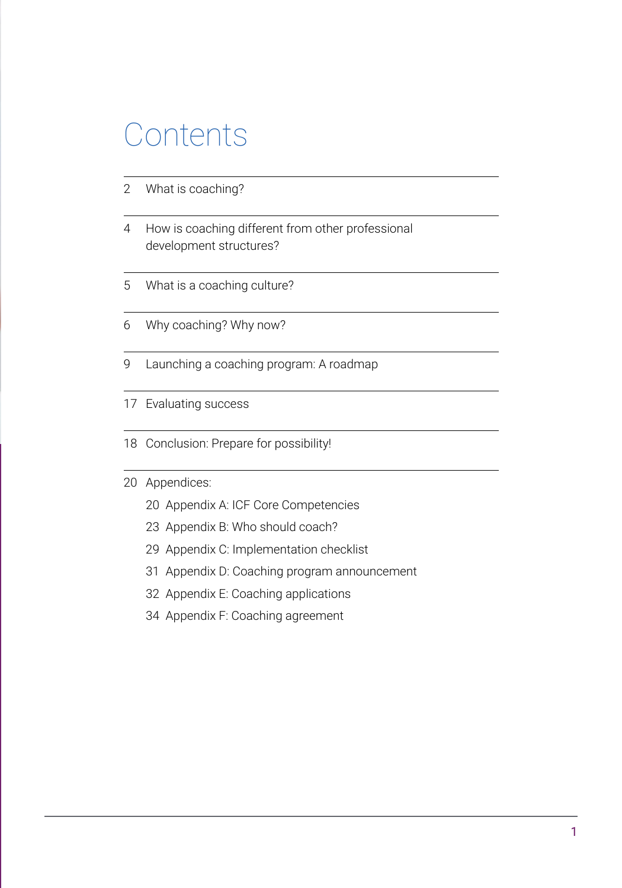## Contents

- 2 [What is coaching?](#page-1-0)
- [4](#page-3-0) [How is coaching different from other professional](#page-3-0)  [development structures?](#page-3-0)
- [5](#page-8-0) [What is a coaching culture?](#page-8-0)
- [6](#page-9-0) [Why coaching? Why now?](#page-9-0)
- [9](#page-12-0) [Launching a coaching program: A roadmap](#page-12-0)
- [17](#page-20-0) [Evaluating success](#page-20-0)
- [18](#page-21-0) [Conclusion: Prepare for possibility!](#page-21-0)
- [20](#page-23-0) [Appendices:](#page-23-0)
	- [20 Appendix A: ICF Core Competencies](#page-23-0)
	- [23 Appendix B: Who should coach?](#page-26-0)
	- [29 Appendix C: Implementation checklist](#page-32-0)
	- [31 Appendix D: Coaching program announcement](#page-34-0)
	- [32 Appendix E: Coaching applications](#page-35-0)
	- [34 Appendix F: Coaching agreement](#page-37-0)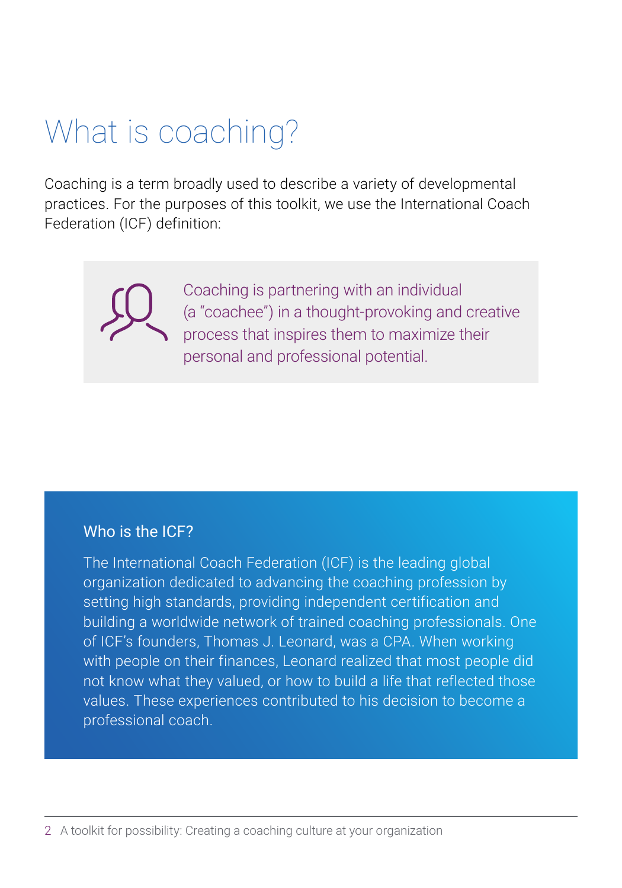## What is coaching?

Coaching is a term broadly used to describe a variety of developmental practices. For the purposes of this toolkit, we use the International Coach Federation (ICF) definition:

> Coaching is partnering with an individual (a "coachee") in a thought-provoking and creative process that inspires them to maximize their personal and professional potential.

### Who is the ICF?

The International Coach Federation (ICF) is the leading global organization dedicated to advancing the coaching profession by setting high standards, providing independent certification and building a worldwide network of trained coaching professionals. One of ICF's founders, Thomas J. Leonard, was a CPA. When working with people on their finances, Leonard realized that most people did not know what they valued, or how to build a life that reflected those values. These experiences contributed to his decision to become a professional coach.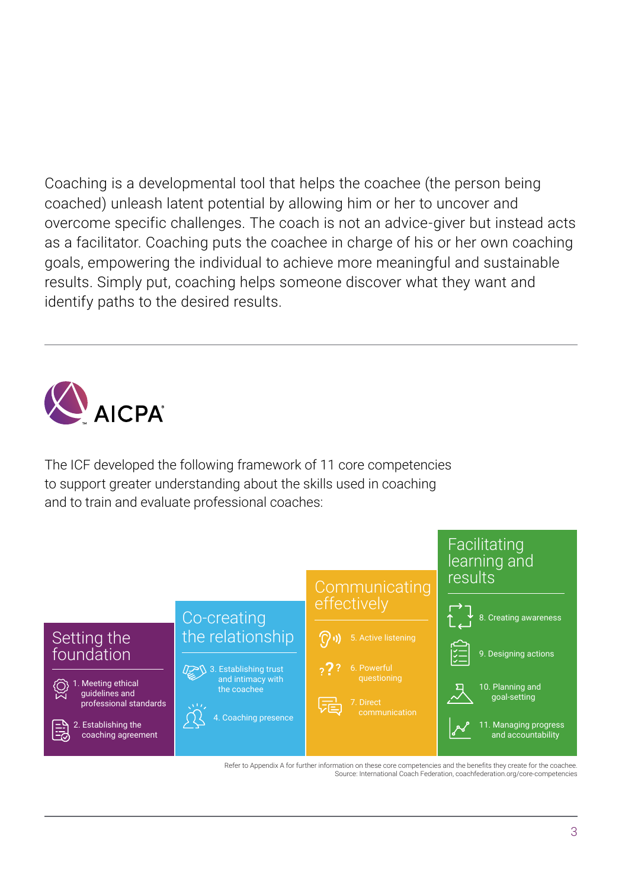Coaching is a developmental tool that helps the coachee (the person being coached) unleash latent potential by allowing him or her to uncover and overcome specific challenges. The coach is not an advice-giver but instead acts as a facilitator. Coaching puts the coachee in charge of his or her own coaching goals, empowering the individual to achieve more meaningful and sustainable results. Simply put, coaching helps someone discover what they want and identify paths to the desired results.



The ICF developed the following framework of 11 core competencies to support greater understanding about the skills used in coaching and to train and evaluate professional coaches:



Refer to Appendix A for further information on these core competencies and the benefits they create for the coachee. Source: International Coach Federation, coachfederation.org/core-competencies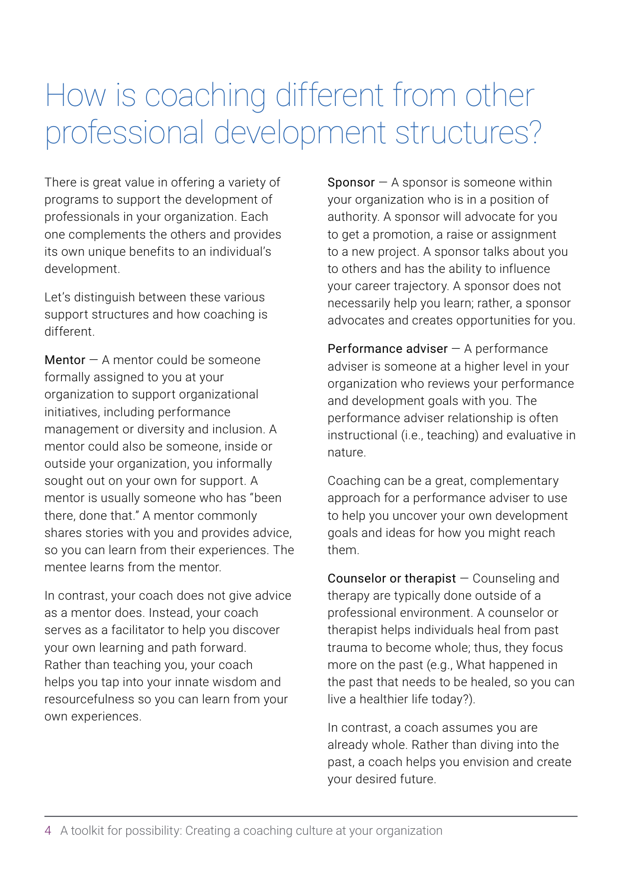## How is coaching different from other professional development structures?

There is great value in offering a variety of programs to support the development of professionals in your organization. Each one complements the others and provides its own unique benefits to an individual's development.

Let's distinguish between these various support structures and how coaching is different.

Mentor  $-$  A mentor could be someone formally assigned to you at your organization to support organizational initiatives, including performance management or diversity and inclusion. A mentor could also be someone, inside or outside your organization, you informally sought out on your own for support. A mentor is usually someone who has "been there, done that." A mentor commonly shares stories with you and provides advice, so you can learn from their experiences. The mentee learns from the mentor.

In contrast, your coach does not give advice as a mentor does. Instead, your coach serves as a facilitator to help you discover your own learning and path forward. Rather than teaching you, your coach helps you tap into your innate wisdom and resourcefulness so you can learn from your own experiences.

**Sponsor**  $-$  A sponsor is someone within your organization who is in a position of authority. A sponsor will advocate for you to get a promotion, a raise or assignment to a new project. A sponsor talks about you to others and has the ability to influence your career trajectory. A sponsor does not necessarily help you learn; rather, a sponsor advocates and creates opportunities for you.

Performance adviser  $-$  A performance adviser is someone at a higher level in your organization who reviews your performance and development goals with you. The performance adviser relationship is often instructional (i.e., teaching) and evaluative in nature.

Coaching can be a great, complementary approach for a performance adviser to use to help you uncover your own development goals and ideas for how you might reach them.

Counselor or therapist — Counseling and therapy are typically done outside of a professional environment. A counselor or therapist helps individuals heal from past trauma to become whole; thus, they focus more on the past (e.g., What happened in the past that needs to be healed, so you can live a healthier life today?).

In contrast, a coach assumes you are already whole. Rather than diving into the past, a coach helps you envision and create your desired future.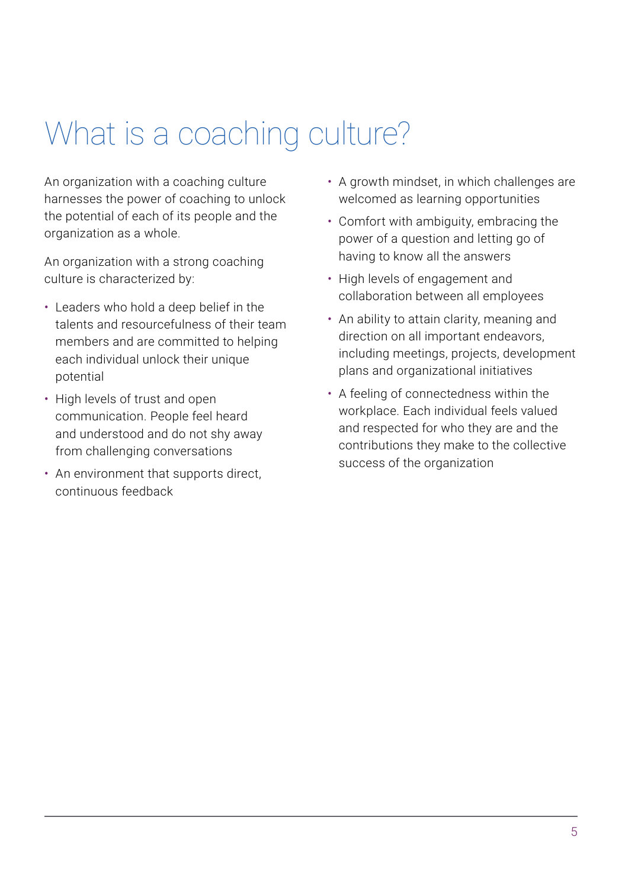## <span id="page-8-0"></span>What is a coaching culture?

An organization with a coaching culture harnesses the power of coaching to unlock the potential of each of its people and the organization as a whole.

An organization with a strong coaching culture is characterized by:

- Leaders who hold a deep belief in the talents and resourcefulness of their team members and are committed to helping each individual unlock their unique potential
- High levels of trust and open communication. People feel heard and understood and do not shy away from challenging conversations
- An environment that supports direct, continuous feedback
- A growth mindset, in which challenges are welcomed as learning opportunities
- Comfort with ambiguity, embracing the power of a question and letting go of having to know all the answers
- High levels of engagement and collaboration between all employees
- An ability to attain clarity, meaning and direction on all important endeavors, including meetings, projects, development plans and organizational initiatives
- A feeling of connectedness within the workplace. Each individual feels valued and respected for who they are and the contributions they make to the collective success of the organization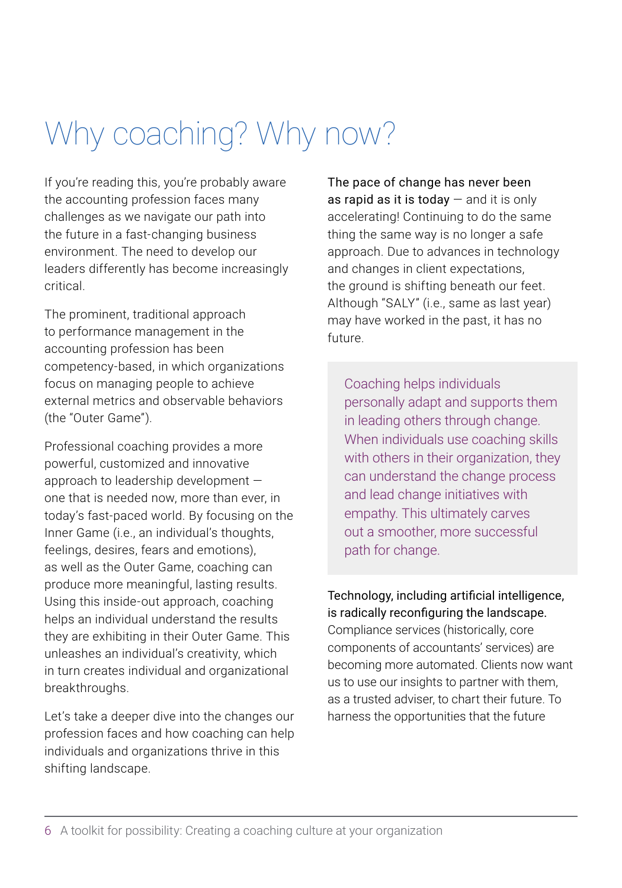## <span id="page-9-0"></span>Why coaching? Why now?

If you're reading this, you're probably aware the accounting profession faces many challenges as we navigate our path into the future in a fast-changing business environment. The need to develop our leaders differently has become increasingly critical.

The prominent, traditional approach to performance management in the accounting profession has been competency-based, in which organizations focus on managing people to achieve external metrics and observable behaviors (the "Outer Game").

Professional coaching provides a more powerful, customized and innovative approach to leadership development one that is needed now, more than ever, in today's fast-paced world. By focusing on the Inner Game (i.e., an individual's thoughts, feelings, desires, fears and emotions), as well as the Outer Game, coaching can produce more meaningful, lasting results. Using this inside-out approach, coaching helps an individual understand the results they are exhibiting in their Outer Game. This unleashes an individual's creativity, which in turn creates individual and organizational breakthroughs.

Let's take a deeper dive into the changes our profession faces and how coaching can help individuals and organizations thrive in this shifting landscape.

The pace of change has never been as rapid as it is today  $-$  and it is only accelerating! Continuing to do the same thing the same way is no longer a safe approach. Due to advances in technology and changes in client expectations, the ground is shifting beneath our feet. Although "SALY" (i.e., same as last year) may have worked in the past, it has no future.

Coaching helps individuals personally adapt and supports them in leading others through change. When individuals use coaching skills with others in their organization, they can understand the change process and lead change initiatives with empathy. This ultimately carves out a smoother, more successful path for change.

Technology, including artificial intelligence, is radically reconfiguring the landscape. Compliance services (historically, core components of accountants' services) are becoming more automated. Clients now want us to use our insights to partner with them, as a trusted adviser, to chart their future. To harness the opportunities that the future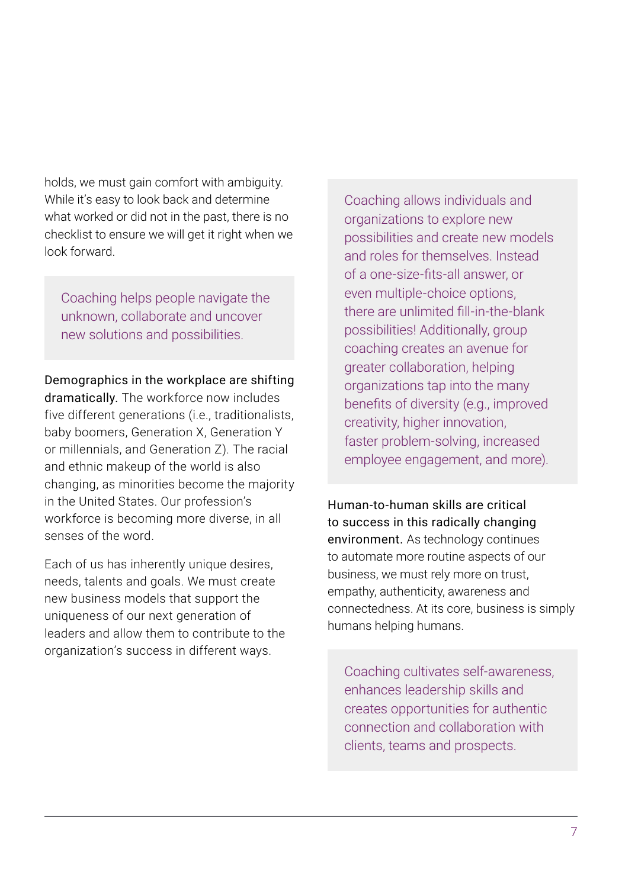holds, we must gain comfort with ambiguity. While it's easy to look back and determine what worked or did not in the past, there is no checklist to ensure we will get it right when we look forward.

Coaching helps people navigate the unknown, collaborate and uncover new solutions and possibilities.

### Demographics in the workplace are shifting

dramatically. The workforce now includes five different generations (i.e., traditionalists, baby boomers, Generation X, Generation Y or millennials, and Generation Z). The racial and ethnic makeup of the world is also changing, as minorities become the majority in the United States. Our profession's workforce is becoming more diverse, in all senses of the word.

Each of us has inherently unique desires, needs, talents and goals. We must create new business models that support the uniqueness of our next generation of leaders and allow them to contribute to the organization's success in different ways.

Coaching allows individuals and organizations to explore new possibilities and create new models and roles for themselves. Instead of a one-size-fits-all answer, or even multiple-choice options, there are unlimited fill-in-the-blank possibilities! Additionally, group coaching creates an avenue for greater collaboration, helping organizations tap into the many benefits of diversity (e.g., improved creativity, higher innovation, faster problem-solving, increased employee engagement, and more).

Human-to-human skills are critical to success in this radically changing environment. As technology continues to automate more routine aspects of our business, we must rely more on trust, empathy, authenticity, awareness and connectedness. At its core, business is simply humans helping humans.

Coaching cultivates self-awareness, enhances leadership skills and creates opportunities for authentic connection and collaboration with clients, teams and prospects.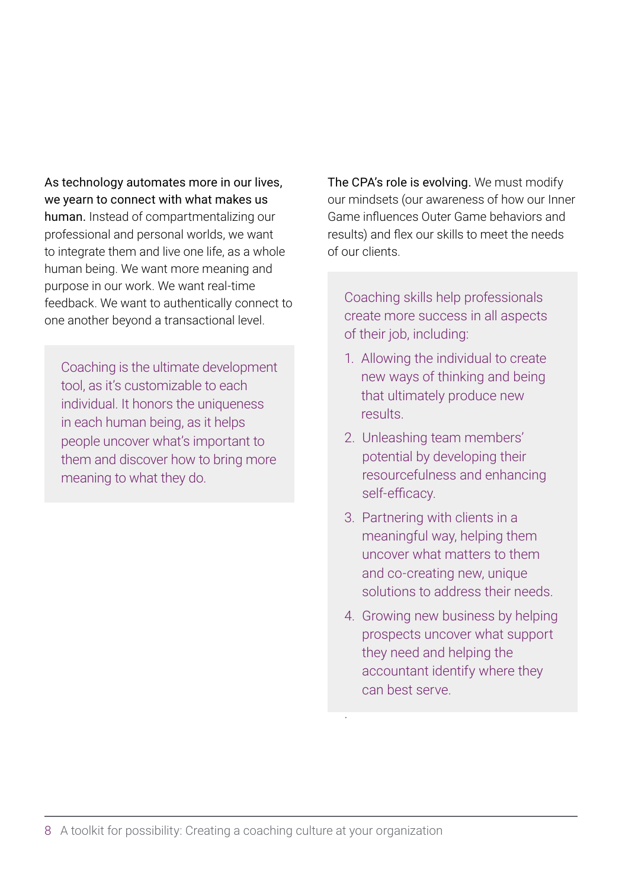As technology automates more in our lives, we yearn to connect with what makes us human. Instead of compartmentalizing our professional and personal worlds, we want to integrate them and live one life, as a whole human being. We want more meaning and purpose in our work. We want real-time feedback. We want to authentically connect to one another beyond a transactional level.

Coaching is the ultimate development tool, as it's customizable to each individual. It honors the uniqueness in each human being, as it helps people uncover what's important to them and discover how to bring more meaning to what they do.

The CPA's role is evolving. We must modify our mindsets (our awareness of how our Inner Game influences Outer Game behaviors and results) and flex our skills to meet the needs of our clients.

Coaching skills help professionals create more success in all aspects of their job, including:

- 1. Allowing the individual to create new ways of thinking and being that ultimately produce new results.
- 2. Unleashing team members' potential by developing their resourcefulness and enhancing self-efficacy.
- 3. Partnering with clients in a meaningful way, helping them uncover what matters to them and co-creating new, unique solutions to address their needs.
- 4. Growing new business by helping prospects uncover what support they need and helping the accountant identify where they can best serve.

.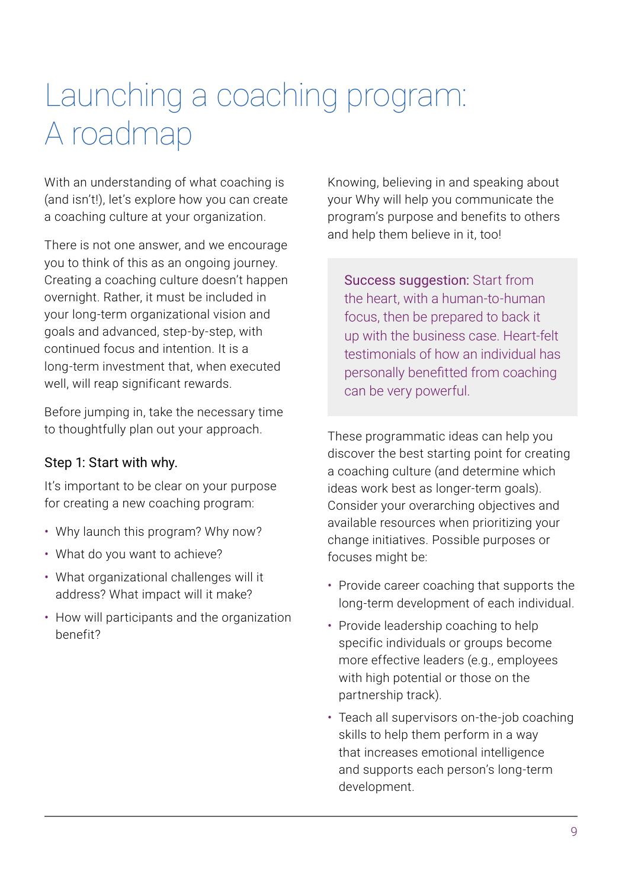## <span id="page-12-0"></span>Launching a coaching program: A roadmap

With an understanding of what coaching is (and isn't!), let's explore how you can create a coaching culture at your organization.

There is not one answer, and we encourage you to think of this as an ongoing journey. Creating a coaching culture doesn't happen overnight. Rather, it must be included in your long-term organizational vision and goals and advanced, step-by-step, with continued focus and intention. It is a long-term investment that, when executed well, will reap significant rewards.

Before jumping in, take the necessary time to thoughtfully plan out your approach.

### Step 1: Start with why.

It's important to be clear on your purpose for creating a new coaching program:

- Why launch this program? Why now?
- What do you want to achieve?
- What organizational challenges will it address? What impact will it make?
- How will participants and the organization benefit?

Knowing, believing in and speaking about your Why will help you communicate the program's purpose and benefits to others and help them believe in it, too!

Success suggestion: Start from the heart, with a human-to-human focus, then be prepared to back it up with the business case. Heart-felt testimonials of how an individual has personally benefitted from coaching can be very powerful.

These programmatic ideas can help you discover the best starting point for creating a coaching culture (and determine which ideas work best as longer-term goals). Consider your overarching objectives and available resources when prioritizing your change initiatives. Possible purposes or focuses might be:

- Provide career coaching that supports the long-term development of each individual.
- Provide leadership coaching to help specific individuals or groups become more effective leaders (e.g., employees with high potential or those on the partnership track).
- Teach all supervisors on-the-job coaching skills to help them perform in a way that increases emotional intelligence and supports each person's long-term development.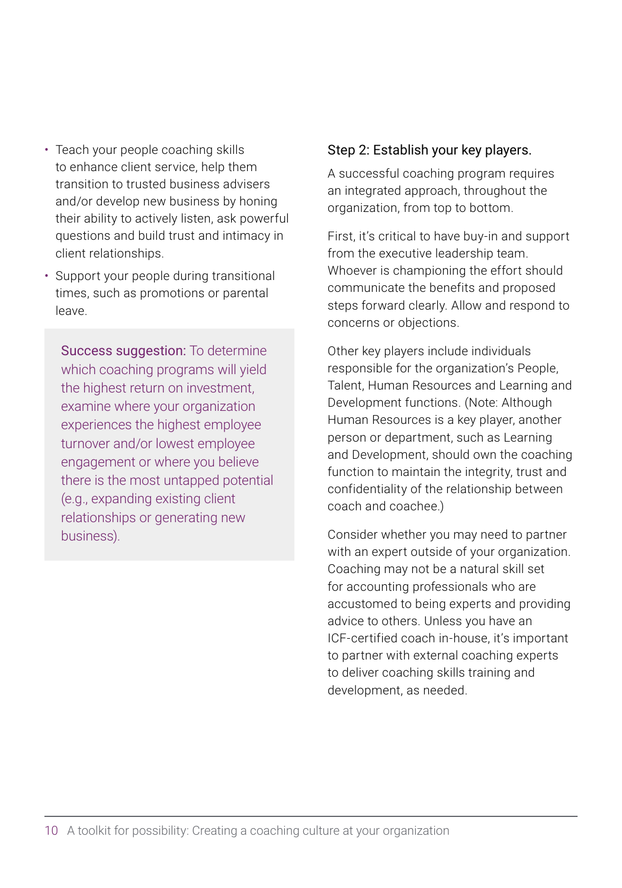- Teach your people coaching skills to enhance client service, help them transition to trusted business advisers and/or develop new business by honing their ability to actively listen, ask powerful questions and build trust and intimacy in client relationships.
- Support your people during transitional times, such as promotions or parental leave.

Success suggestion: To determine which coaching programs will yield the highest return on investment, examine where your organization experiences the highest employee turnover and/or lowest employee engagement or where you believe there is the most untapped potential (e.g., expanding existing client relationships or generating new business).

### Step 2: Establish your key players.

A successful coaching program requires an integrated approach, throughout the organization, from top to bottom.

First, it's critical to have buy-in and support from the executive leadership team. Whoever is championing the effort should communicate the benefits and proposed steps forward clearly. Allow and respond to concerns or objections.

Other key players include individuals responsible for the organization's People, Talent, Human Resources and Learning and Development functions. (Note: Although Human Resources is a key player, another person or department, such as Learning and Development, should own the coaching function to maintain the integrity, trust and confidentiality of the relationship between coach and coachee.)

Consider whether you may need to partner with an expert outside of your organization. Coaching may not be a natural skill set for accounting professionals who are accustomed to being experts and providing advice to others. Unless you have an ICF-certified coach in-house, it's important to partner with external coaching experts to deliver coaching skills training and development, as needed.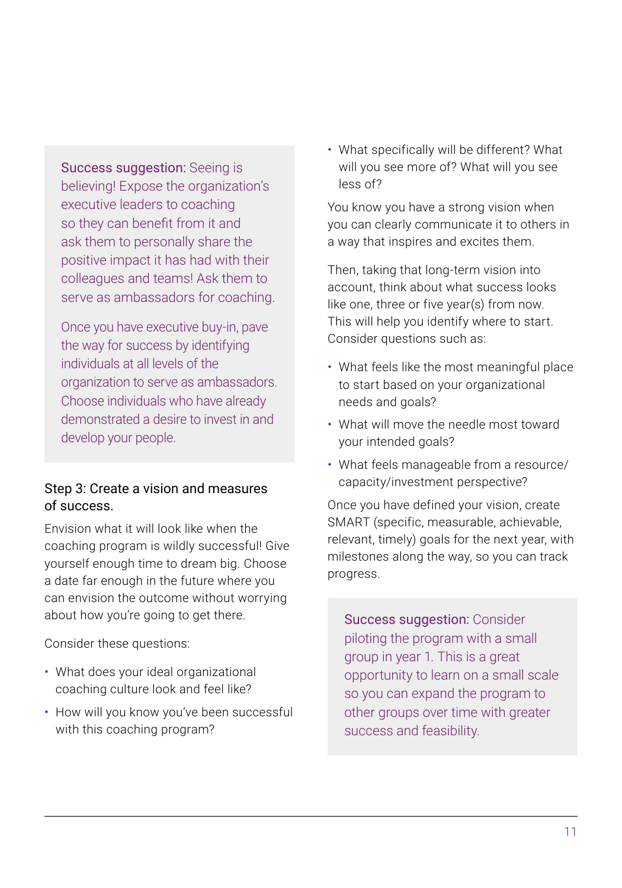Success suggestion: Seeing is believing! Expose the organization's executive leaders to coaching so they can benefit from it and ask them to personally share the positive impact it has had with their colleagues and teams! Ask them to serve as ambassadors for coaching.

Once you have executive buy-in, pave the way for success by identifying individuals at all levels of the organization to serve as ambassadors. Choose individuals who have already demonstrated a desire to invest in and develop your people.

### Step 3: Create a vision and measures of success.

Envision what it will look like when the coaching program is wildly successful! Give yourself enough time to dream big. Choose a date far enough in the future where you can envision the outcome without worrying about how you're going to get there.

Consider these questions:

- What does your ideal organizational coaching culture look and feel like?
- How will you know you've been successful with this coaching program?

• What specifically will be different? What will you see more of? What will you see less of?

You know you have a strong vision when you can clearly communicate it to others in a way that inspires and excites them.

Then, taking that long-term vision into account, think about what success looks like one, three or five year(s) from now. This will help you identify where to start. Consider questions such as:

- What feels like the most meaningful place to start based on your organizational needs and goals?
- What will move the needle most toward your intended goals?
- What feels manageable from a resource/ capacity/investment perspective?

Once you have defined your vision, create SMART (specific, measurable, achievable, relevant, timely) goals for the next year, with milestones along the way, so you can track progress.

Success suggestion: Consider piloting the program with a small group in year 1. This is a great opportunity to learn on a small scale so you can expand the program to other groups over time with greater success and feasibility.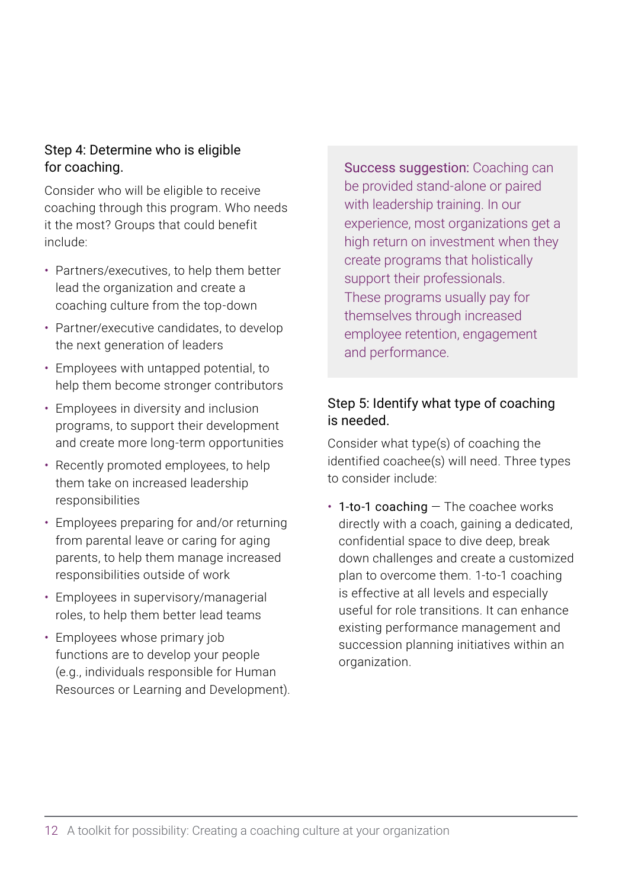### Step 4: Determine who is eligible for coaching.

Consider who will be eligible to receive coaching through this program. Who needs it the most? Groups that could benefit include:

- Partners/executives, to help them better lead the organization and create a coaching culture from the top-down
- Partner/executive candidates, to develop the next generation of leaders
- Employees with untapped potential, to help them become stronger contributors
- Employees in diversity and inclusion programs, to support their development and create more long-term opportunities
- Recently promoted employees, to help them take on increased leadership responsibilities
- Employees preparing for and/or returning from parental leave or caring for aging parents, to help them manage increased responsibilities outside of work
- Employees in supervisory/managerial roles, to help them better lead teams
- Employees whose primary job functions are to develop your people (e.g., individuals responsible for Human Resources or Learning and Development).

Success suggestion: Coaching can be provided stand-alone or paired with leadership training. In our experience, most organizations get a high return on investment when they create programs that holistically support their professionals. These programs usually pay for themselves through increased employee retention, engagement and performance.

### Step 5: Identify what type of coaching is needed.

Consider what type(s) of coaching the identified coachee(s) will need. Three types to consider include:

 $\cdot$  1-to-1 coaching  $-$  The coachee works directly with a coach, gaining a dedicated, confidential space to dive deep, break down challenges and create a customized plan to overcome them. 1-to-1 coaching is effective at all levels and especially useful for role transitions. It can enhance existing performance management and succession planning initiatives within an organization.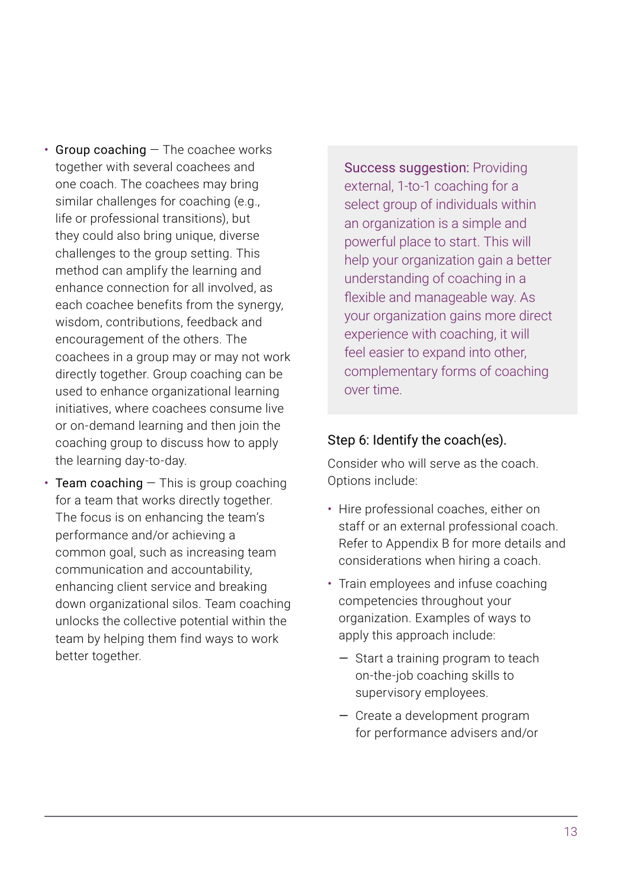- $\cdot$  Group coaching  $-$  The coachee works together with several coachees and one coach. The coachees may bring similar challenges for coaching (e.g., life or professional transitions), but they could also bring unique, diverse challenges to the group setting. This method can amplify the learning and enhance connection for all involved, as each coachee benefits from the synergy, wisdom, contributions, feedback and encouragement of the others. The coachees in a group may or may not work directly together. Group coaching can be used to enhance organizational learning initiatives, where coachees consume live or on-demand learning and then join the coaching group to discuss how to apply the learning day-to-day.
- Team coaching  $-$  This is group coaching for a team that works directly together. The focus is on enhancing the team's performance and/or achieving a common goal, such as increasing team communication and accountability, enhancing client service and breaking down organizational silos. Team coaching unlocks the collective potential within the team by helping them find ways to work better together.

Success suggestion: Providing external, 1-to-1 coaching for a select group of individuals within an organization is a simple and powerful place to start. This will help your organization gain a better understanding of coaching in a flexible and manageable way. As your organization gains more direct experience with coaching, it will feel easier to expand into other, complementary forms of coaching over time.

### Step 6: Identify the coach(es).

Consider who will serve as the coach. Options include:

- Hire professional coaches, either on staff or an external professional coach. Refer to Appendix B for more details and considerations when hiring a coach.
- Train employees and infuse coaching competencies throughout your organization. Examples of ways to apply this approach include:
	- Start a training program to teach on-the-job coaching skills to supervisory employees.
	- Create a development program for performance advisers and/or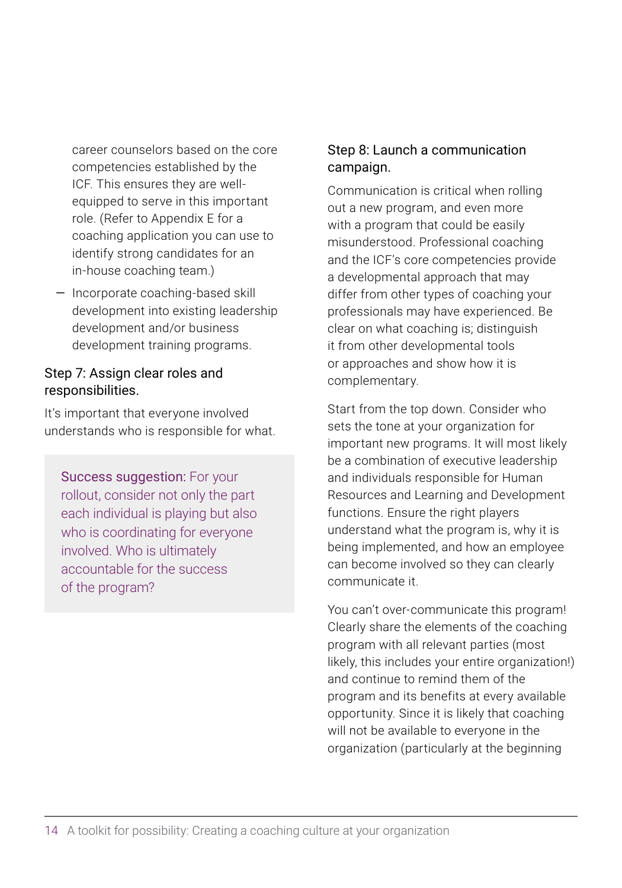career counselors based on the core competencies established by the ICF. This ensures they are wellequipped to serve in this important role. (Refer to Appendix E for a coaching application you can use to identify strong candidates for an in-house coaching team.)

— Incorporate coaching-based skill development into existing leadership development and/or business development training programs.

### Step 7: Assign clear roles and responsibilities.

It's important that everyone involved understands who is responsible for what.

Success suggestion: For your rollout, consider not only the part each individual is playing but also who is coordinating for everyone involved. Who is ultimately accountable for the success of the program?

### Step 8: Launch a communication campaign.

Communication is critical when rolling out a new program, and even more with a program that could be easily misunderstood. Professional coaching and the ICF's core competencies provide a developmental approach that may differ from other types of coaching your professionals may have experienced. Be clear on what coaching is; distinguish it from other developmental tools or approaches and show how it is complementary.

Start from the top down. Consider who sets the tone at your organization for important new programs. It will most likely be a combination of executive leadership and individuals responsible for Human Resources and Learning and Development functions. Ensure the right players understand what the program is, why it is being implemented, and how an employee can become involved so they can clearly communicate it.

You can't over-communicate this program! Clearly share the elements of the coaching program with all relevant parties (most likely, this includes your entire organization!) and continue to remind them of the program and its benefits at every available opportunity. Since it is likely that coaching will not be available to everyone in the organization (particularly at the beginning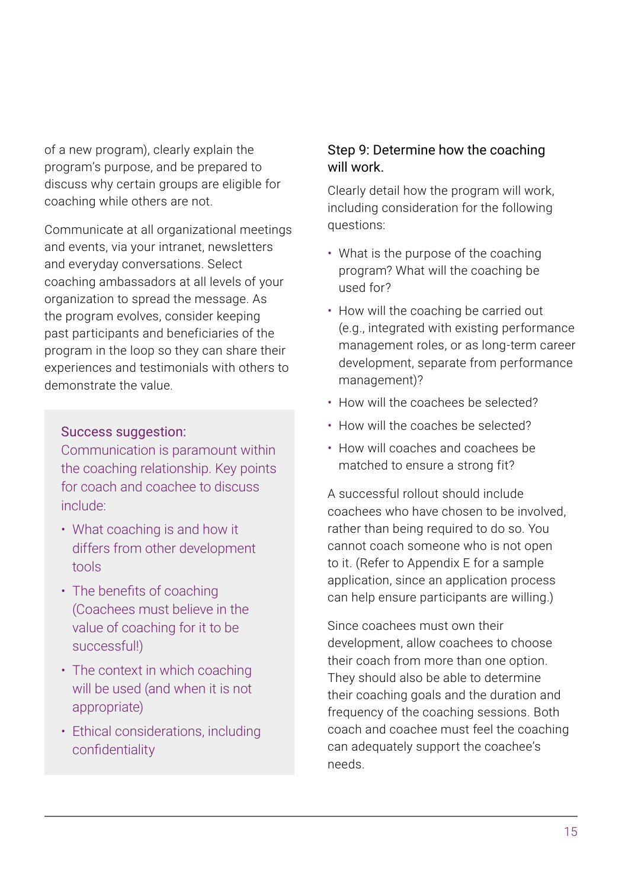of a new program), clearly explain the program's purpose, and be prepared to discuss why certain groups are eligible for coaching while others are not.

Communicate at all organizational meetings and events, via your intranet, newsletters and everyday conversations. Select coaching ambassadors at all levels of your organization to spread the message. As the program evolves, consider keeping past participants and beneficiaries of the program in the loop so they can share their experiences and testimonials with others to demonstrate the value.

### Success suggestion:

Communication is paramount within the coaching relationship. Key points for coach and coachee to discuss include:

- What coaching is and how it differs from other development tools
- The benefits of coaching (Coachees must believe in the value of coaching for it to be successful!)
- The context in which coaching will be used (and when it is not appropriate)
- Ethical considerations, including confidentiality

### Step 9: Determine how the coaching will work.

Clearly detail how the program will work, including consideration for the following questions:

- What is the purpose of the coaching program? What will the coaching be used for?
- How will the coaching be carried out (e.g., integrated with existing performance management roles, or as long-term career development, separate from performance management)?
- How will the coachees be selected?
- How will the coaches be selected?
- How will coaches and coachees be matched to ensure a strong fit?

A successful rollout should include coachees who have chosen to be involved, rather than being required to do so. You cannot coach someone who is not open to it. (Refer to Appendix E for a sample application, since an application process can help ensure participants are willing.)

Since coachees must own their development, allow coachees to choose their coach from more than one option. They should also be able to determine their coaching goals and the duration and frequency of the coaching sessions. Both coach and coachee must feel the coaching can adequately support the coachee's needs.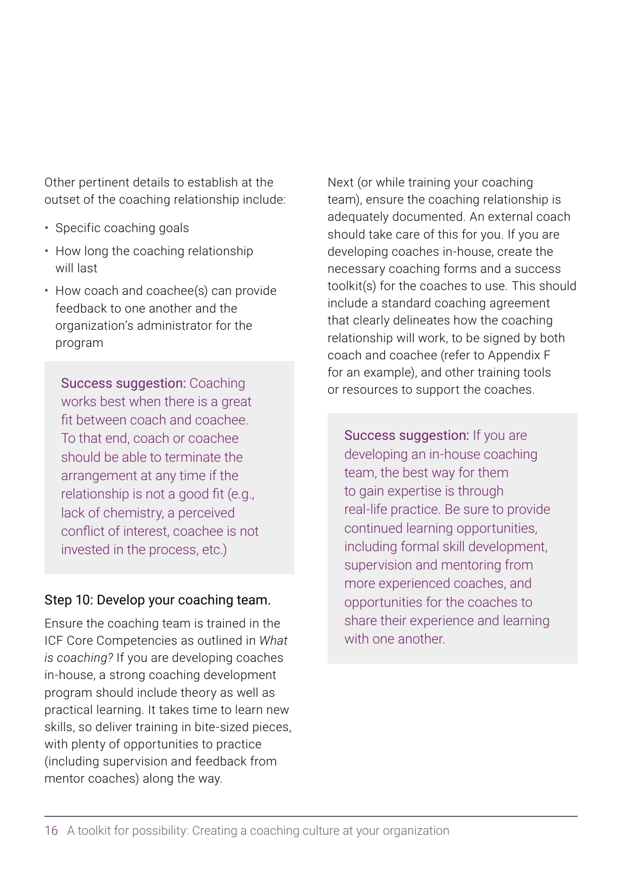Other pertinent details to establish at the outset of the coaching relationship include:

- Specific coaching goals
- How long the coaching relationship will last
- How coach and coachee(s) can provide feedback to one another and the organization's administrator for the program

Success suggestion: Coaching works best when there is a great fit between coach and coachee. To that end, coach or coachee should be able to terminate the arrangement at any time if the relationship is not a good fit (e.g., lack of chemistry, a perceived conflict of interest, coachee is not invested in the process, etc.)

### Step 10: Develop your coaching team.

Ensure the coaching team is trained in the ICF Core Competencies as outlined in *What is coaching?* If you are developing coaches in-house, a strong coaching development program should include theory as well as practical learning. It takes time to learn new skills, so deliver training in bite-sized pieces, with plenty of opportunities to practice (including supervision and feedback from mentor coaches) along the way.

Next (or while training your coaching team), ensure the coaching relationship is adequately documented. An external coach should take care of this for you. If you are developing coaches in-house, create the necessary coaching forms and a success toolkit(s) for the coaches to use. This should include a standard coaching agreement that clearly delineates how the coaching relationship will work, to be signed by both coach and coachee (refer to Appendix F for an example), and other training tools or resources to support the coaches.

Success suggestion: If you are developing an in-house coaching team, the best way for them to gain expertise is through real-life practice. Be sure to provide continued learning opportunities, including formal skill development, supervision and mentoring from more experienced coaches, and opportunities for the coaches to share their experience and learning with one another.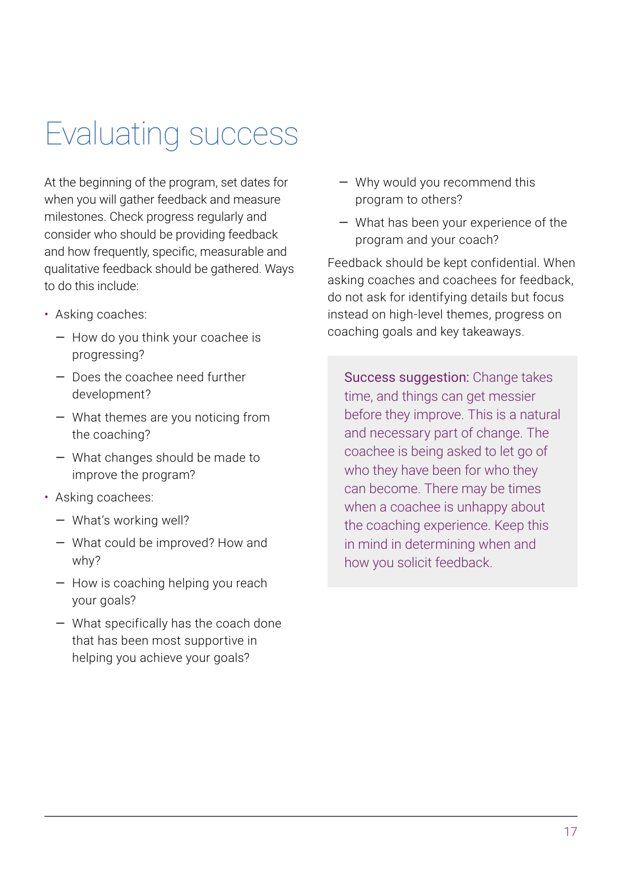## <span id="page-20-0"></span>Evaluating success

At the beginning of the program, set dates for when you will gather feedback and measure milestones. Check progress regularly and consider who should be providing feedback and how frequently, specific, measurable and qualitative feedback should be gathered. Ways to do this include:

- Asking coaches:
	- How do you think your coachee is progressing?
	- Does the coachee need further development?
	- What themes are you noticing from the coaching?
	- What changes should be made to improve the program?
- Asking coachees:
	- What's working well?
	- What could be improved? How and why?
	- How is coaching helping you reach your goals?
	- What specifically has the coach done that has been most supportive in helping you achieve your goals?
- Why would you recommend this program to others?
- What has been your experience of the program and your coach?

Feedback should be kept confidential. When asking coaches and coachees for feedback, do not ask for identifying details but focus instead on high-level themes, progress on coaching goals and key takeaways.

Success suggestion: Change takes time, and things can get messier before they improve. This is a natural and necessary part of change. The coachee is being asked to let go of who they have been for who they can become. There may be times when a coachee is unhappy about the coaching experience. Keep this in mind in determining when and how you solicit feedback.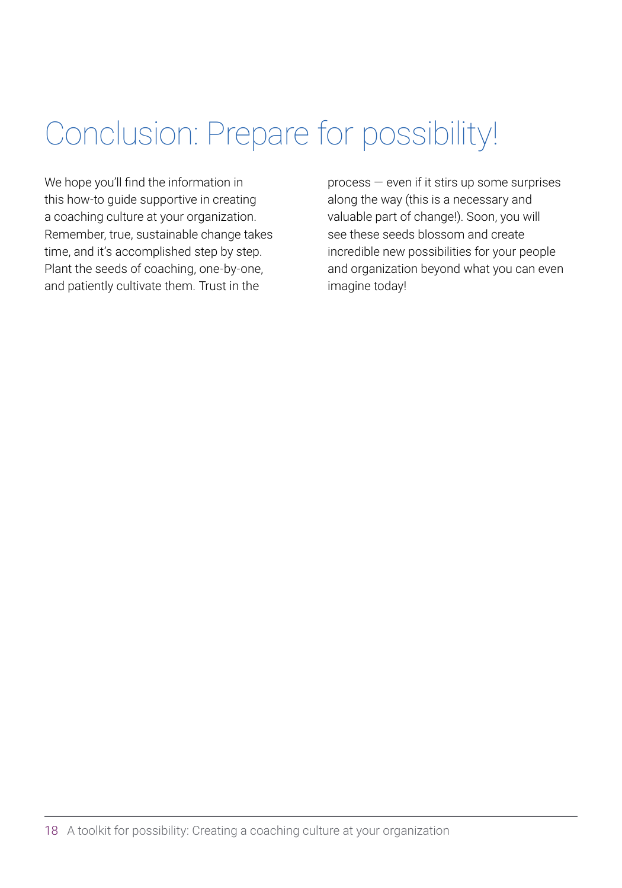## <span id="page-21-0"></span>Conclusion: Prepare for possibility!

We hope you'll find the information in this how-to guide supportive in creating a coaching culture at your organization. Remember, true, sustainable change takes time, and it's accomplished step by step. Plant the seeds of coaching, one-by-one, and patiently cultivate them. Trust in the

process — even if it stirs up some surprises along the way (this is a necessary and valuable part of change!). Soon, you will see these seeds blossom and create incredible new possibilities for your people and organization beyond what you can even imagine today!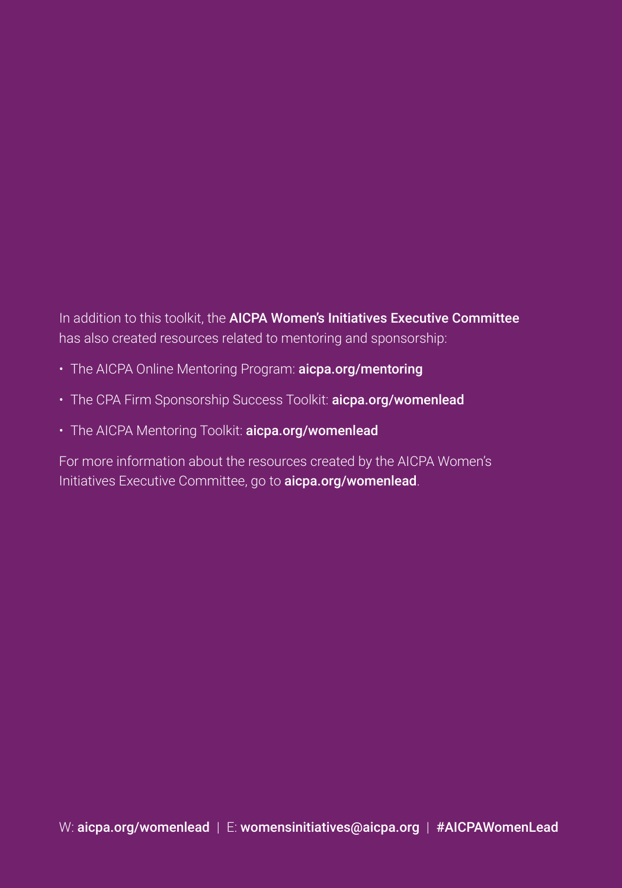In addition to this toolkit, the AICPA Women's Initiatives Executive Committee has also created resources related to mentoring and sponsorship:

- The AICPA Online Mentoring Program: [aicpa.org/mentoring](http://aicpa.org/mentoring)
- The CPA Firm Sponsorship Success Toolkit: [aicpa.org/womenlead](http://aicpa.org/womenlead)
- The AICPA Mentoring Toolkit: [aicpa.org/womenlead](http://aicpa.org/womenlead)

For more information about the resources created by the AICPA Women's Initiatives Executive Committee, go to [aicpa.org/womenlead](http://aicpa.org/womenlead)[.](https://www.aicpa.org/career/womenintheprofession.html)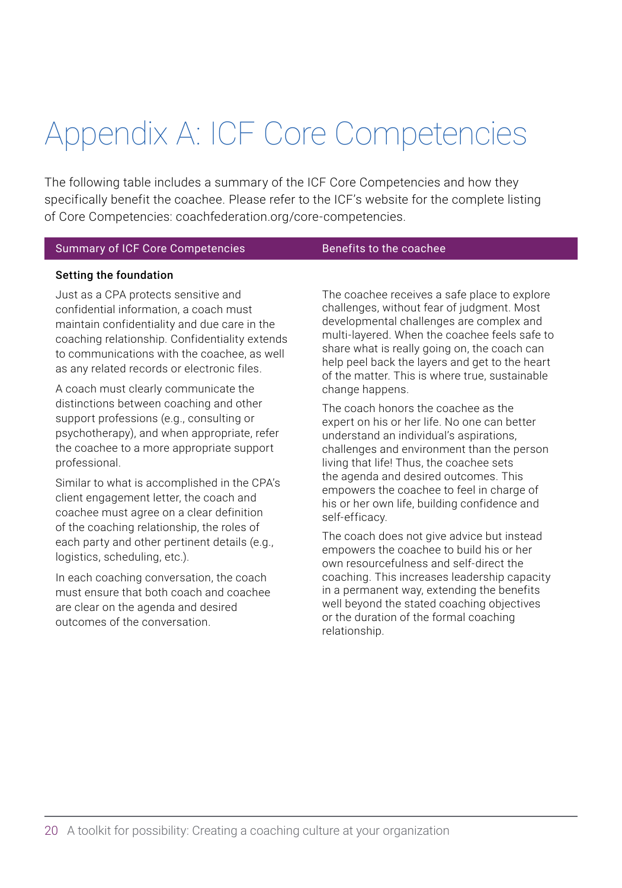## <span id="page-23-0"></span>Appendix A: ICF Core Competencies

The following table includes a summary of the ICF Core Competencies and how they specifically benefit the coachee. Please refer to the ICF's website for the complete listing of Core Competencies: [coachfederation.org/core-competencies.](mailto:https://coachfederation.org/core-competencies?subject=)

### Summary of ICF Core Competencies Benefits to the coachee

### Setting the foundation

Just as a CPA protects sensitive and confidential information, a coach must maintain confidentiality and due care in the coaching relationship. Confidentiality extends to communications with the coachee, as well as any related records or electronic files.

A coach must clearly communicate the distinctions between coaching and other support professions (e.g., consulting or psychotherapy), and when appropriate, refer the coachee to a more appropriate support professional.

Similar to what is accomplished in the CPA's client engagement letter, the coach and coachee must agree on a clear definition of the coaching relationship, the roles of each party and other pertinent details (e.g., logistics, scheduling, etc.).

In each coaching conversation, the coach must ensure that both coach and coachee are clear on the agenda and desired outcomes of the conversation.

The coachee receives a safe place to explore challenges, without fear of judgment. Most developmental challenges are complex and multi-layered. When the coachee feels safe to share what is really going on, the coach can help peel back the layers and get to the heart of the matter. This is where true, sustainable change happens.

The coach honors the coachee as the expert on his or her life. No one can better understand an individual's aspirations, challenges and environment than the person living that life! Thus, the coachee sets the agenda and desired outcomes. This empowers the coachee to feel in charge of his or her own life, building confidence and self-efficacy.

The coach does not give advice but instead empowers the coachee to build his or her own resourcefulness and self-direct the coaching. This increases leadership capacity in a permanent way, extending the benefits well beyond the stated coaching objectives or the duration of the formal coaching relationship.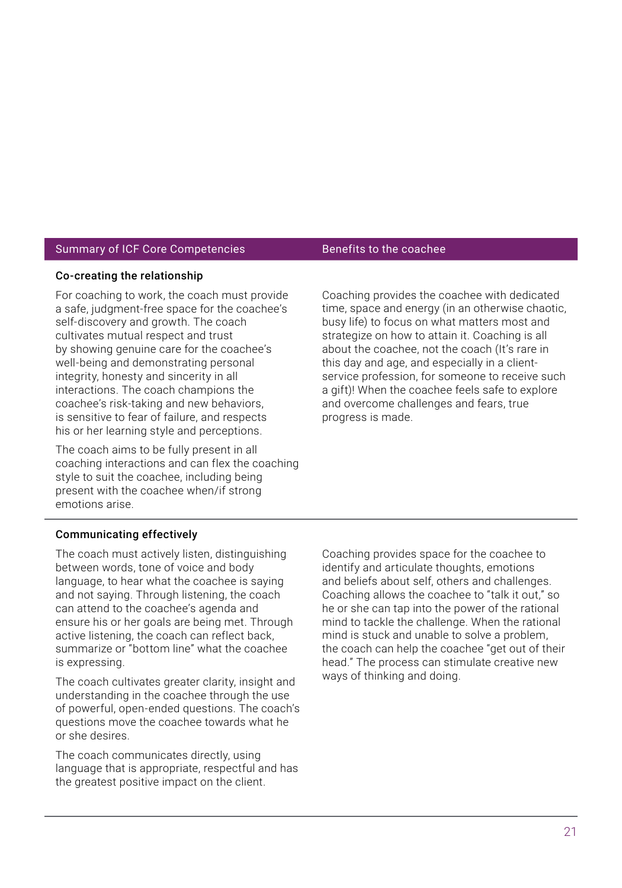### Summary of ICF Core Competencies Benefits to the coachee

### Co-creating the relationship

For coaching to work, the coach must provide a safe, judgment-free space for the coachee's self-discovery and growth. The coach cultivates mutual respect and trust by showing genuine care for the coachee's well-being and demonstrating personal integrity, honesty and sincerity in all interactions. The coach champions the coachee's risk-taking and new behaviors, is sensitive to fear of failure, and respects his or her learning style and perceptions.

The coach aims to be fully present in all coaching interactions and can flex the coaching style to suit the coachee, including being present with the coachee when/if strong emotions arise.

Coaching provides the coachee with dedicated time, space and energy (in an otherwise chaotic, busy life) to focus on what matters most and strategize on how to attain it. Coaching is all about the coachee, not the coach (It's rare in this day and age, and especially in a clientservice profession, for someone to receive such a gift)! When the coachee feels safe to explore and overcome challenges and fears, true progress is made.

### Communicating effectively

The coach must actively listen, distinguishing between words, tone of voice and body language, to hear what the coachee is saying and not saying. Through listening, the coach can attend to the coachee's agenda and ensure his or her goals are being met. Through active listening, the coach can reflect back, summarize or "bottom line" what the coachee is expressing.

The coach cultivates greater clarity, insight and understanding in the coachee through the use of powerful, open-ended questions. The coach's questions move the coachee towards what he or she desires.

The coach communicates directly, using language that is appropriate, respectful and has the greatest positive impact on the client.

Coaching provides space for the coachee to identify and articulate thoughts, emotions and beliefs about self, others and challenges. Coaching allows the coachee to "talk it out," so he or she can tap into the power of the rational mind to tackle the challenge. When the rational mind is stuck and unable to solve a problem, the coach can help the coachee "get out of their head." The process can stimulate creative new ways of thinking and doing.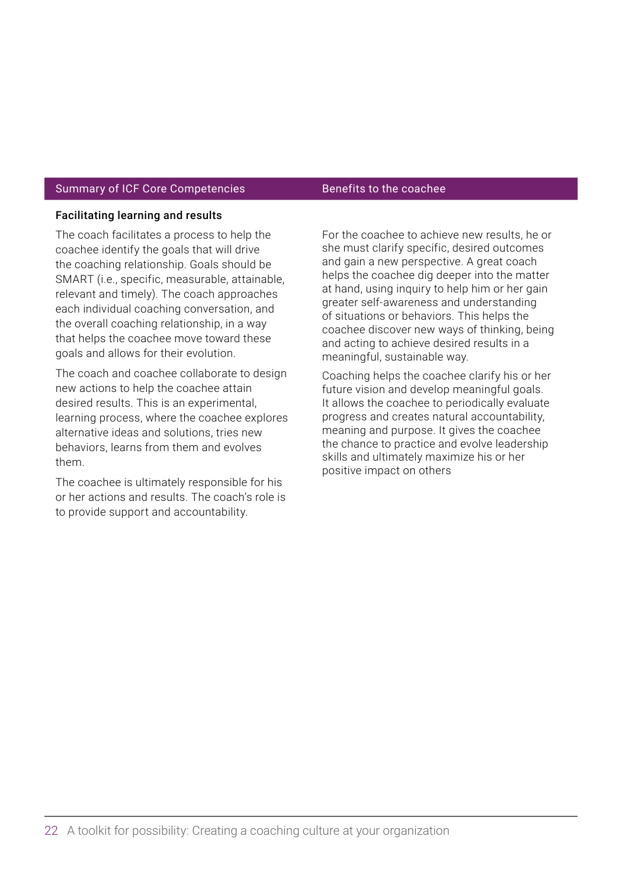### Summary of ICF Core Competencies **Benefits** to the coachee

### Facilitating learning and results

The coach facilitates a process to help the coachee identify the goals that will drive the coaching relationship. Goals should be SMART (i.e., specific, measurable, attainable, relevant and timely). The coach approaches each individual coaching conversation, and the overall coaching relationship, in a way that helps the coachee move toward these goals and allows for their evolution.

The coach and coachee collaborate to design new actions to help the coachee attain desired results. This is an experimental, learning process, where the coachee explores alternative ideas and solutions, tries new behaviors, learns from them and evolves them.

The coachee is ultimately responsible for his or her actions and results. The coach's role is to provide support and accountability.

For the coachee to achieve new results, he or she must clarify specific, desired outcomes and gain a new perspective. A great coach helps the coachee dig deeper into the matter at hand, using inquiry to help him or her gain greater self-awareness and understanding of situations or behaviors. This helps the coachee discover new ways of thinking, being and acting to achieve desired results in a meaningful, sustainable way.

Coaching helps the coachee clarify his or her future vision and develop meaningful goals. It allows the coachee to periodically evaluate progress and creates natural accountability, meaning and purpose. It gives the coachee the chance to practice and evolve leadership skills and ultimately maximize his or her positive impact on others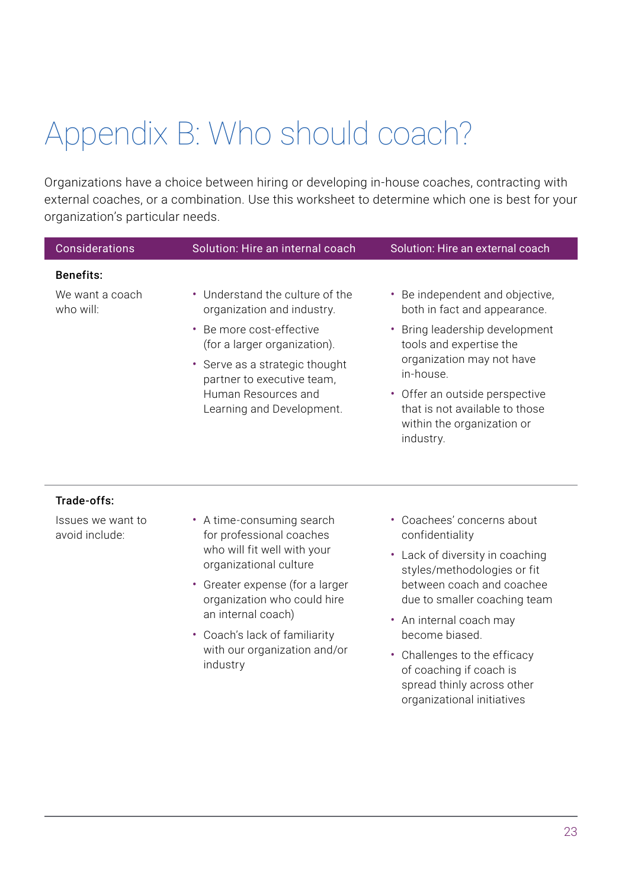## <span id="page-26-0"></span>Appendix B: Who should coach?

Organizations have a choice between hiring or developing in-house coaches, contracting with external coaches, or a combination. Use this worksheet to determine which one is best for your organization's particular needs.

| Considerations                      | Solution: Hire an internal coach                                                                                                                                                                                      | Solution: Hire an external coach                                                                                                                                                                                                                   |  |  |
|-------------------------------------|-----------------------------------------------------------------------------------------------------------------------------------------------------------------------------------------------------------------------|----------------------------------------------------------------------------------------------------------------------------------------------------------------------------------------------------------------------------------------------------|--|--|
| <b>Benefits:</b><br>We want a coach | • Understand the culture of the                                                                                                                                                                                       | • Be independent and objective,                                                                                                                                                                                                                    |  |  |
| who will:                           | organization and industry.<br>Be more cost-effective<br>$\bullet$<br>(for a larger organization).<br>• Serve as a strategic thought<br>partner to executive team,<br>Human Resources and<br>Learning and Development. | both in fact and appearance.<br>• Bring leadership development<br>tools and expertise the<br>organization may not have<br>in-house.<br>• Offer an outside perspective<br>that is not available to those<br>within the organization or<br>industry. |  |  |
| Trade-offs:                         |                                                                                                                                                                                                                       |                                                                                                                                                                                                                                                    |  |  |
| Issues we want to<br>avoid include: | • A time-consuming search<br>for professional coaches<br>who will fit well with your<br>organizational culture<br>• Greater expense (for a larger<br>organization who could hire<br>an internal coach)                | • Coachees' concerns about<br>confidentiality                                                                                                                                                                                                      |  |  |
|                                     |                                                                                                                                                                                                                       | • Lack of diversity in coaching<br>styles/methodologies or fit<br>between coach and coachee<br>due to smaller coaching team                                                                                                                        |  |  |
|                                     |                                                                                                                                                                                                                       | • An internal coach may                                                                                                                                                                                                                            |  |  |

- Coach's lack of familiarity with our organization and/or industry
- Challenges to the efficacy of coaching if coach is spread thinly across other organizational initiatives

become biased.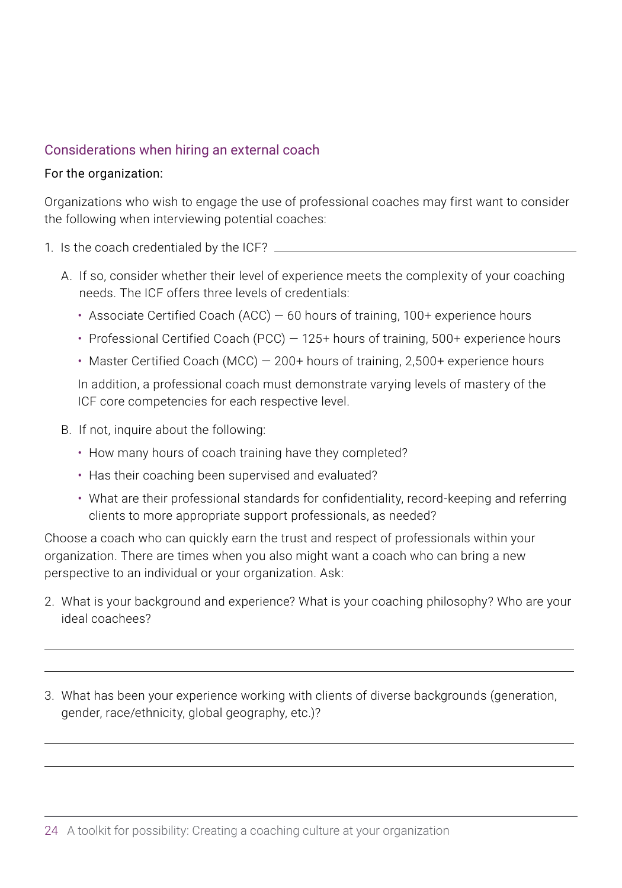### Considerations when hiring an external coach

### For the organization:

 $\overline{a}$ 

 $\overline{a}$ 

Organizations who wish to engage the use of professional coaches may first want to consider the following when interviewing potential coaches:

- 1. Is the coach credentialed by the ICF?
	- A. If so, consider whether their level of experience meets the complexity of your coaching needs. The ICF offers three levels of credentials:
		- Associate Certified Coach (ACC) 60 hours of training, 100+ experience hours
		- Professional Certified Coach (PCC) 125+ hours of training, 500+ experience hours
		- Master Certified Coach (MCC) 200+ hours of training, 2,500+ experience hours

In addition, a professional coach must demonstrate varying levels of mastery of the ICF core competencies for each respective level.

- B. If not, inquire about the following:
	- How many hours of coach training have they completed?
	- Has their coaching been supervised and evaluated?
	- What are their professional standards for confidentiality, record-keeping and referring clients to more appropriate support professionals, as needed?

Choose a coach who can quickly earn the trust and respect of professionals within your organization. There are times when you also might want a coach who can bring a new perspective to an individual or your organization. Ask:

2. What is your background and experience? What is your coaching philosophy? Who are your ideal coachees?

 $\overline{a}$ 

 $\overline{a}$ 

3. What has been your experience working with clients of diverse backgrounds (generation, gender, race/ethnicity, global geography, etc.)?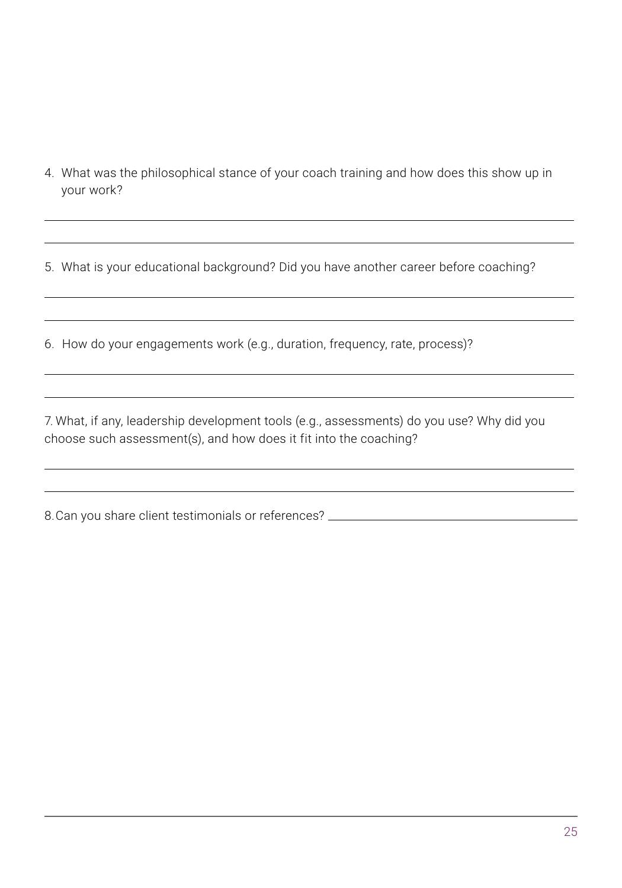4. What was the philosophical stance of your coach training and how does this show up in your work?

 $\overline{a}$ 

 $\overline{a}$ 

 $\overline{a}$ 

 $\overline{a}$ 

5. What is your educational background? Did you have another career before coaching?

6. How do your engagements work (e.g., duration, frequency, rate, process)?

7. What, if any, leadership development tools (e.g., assessments) do you use? Why did you choose such assessment(s), and how does it fit into the coaching?

8.Can you share client testimonials or references? \_\_\_\_\_\_\_\_\_\_\_\_\_\_\_\_\_\_\_\_\_\_\_\_\_\_\_\_\_

 $\overline{a}$ 

 $\overline{a}$ 

 $\overline{a}$ 

 $\overline{a}$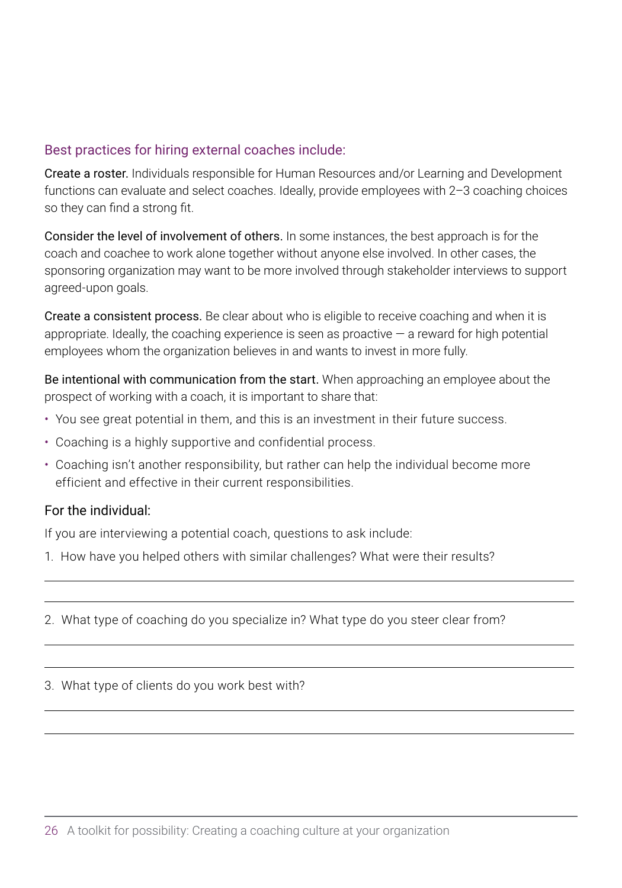### Best practices for hiring external coaches include:

Create a roster. Individuals responsible for Human Resources and/or Learning and Development functions can evaluate and select coaches. Ideally, provide employees with 2–3 coaching choices so they can find a strong fit.

Consider the level of involvement of others. In some instances, the best approach is for the coach and coachee to work alone together without anyone else involved. In other cases, the sponsoring organization may want to be more involved through stakeholder interviews to support agreed-upon goals.

Create a consistent process. Be clear about who is eligible to receive coaching and when it is appropriate. Ideally, the coaching experience is seen as proactive  $-$  a reward for high potential employees whom the organization believes in and wants to invest in more fully.

Be intentional with communication from the start. When approaching an employee about the prospect of working with a coach, it is important to share that:

- You see great potential in them, and this is an investment in their future success.
- Coaching is a highly supportive and confidential process.
- Coaching isn't another responsibility, but rather can help the individual become more efficient and effective in their current responsibilities.

### For the individual:

 $\overline{a}$ 

If you are interviewing a potential coach, questions to ask include:

- 1. How have you helped others with similar challenges? What were their results?
- 2. What type of coaching do you specialize in? What type do you steer clear from?

 $\overline{a}$ 

 $\overline{a}$  $\overline{a}$ 

 $\overline{a}$  $\overline{a}$ 

3. What type of clients do you work best with?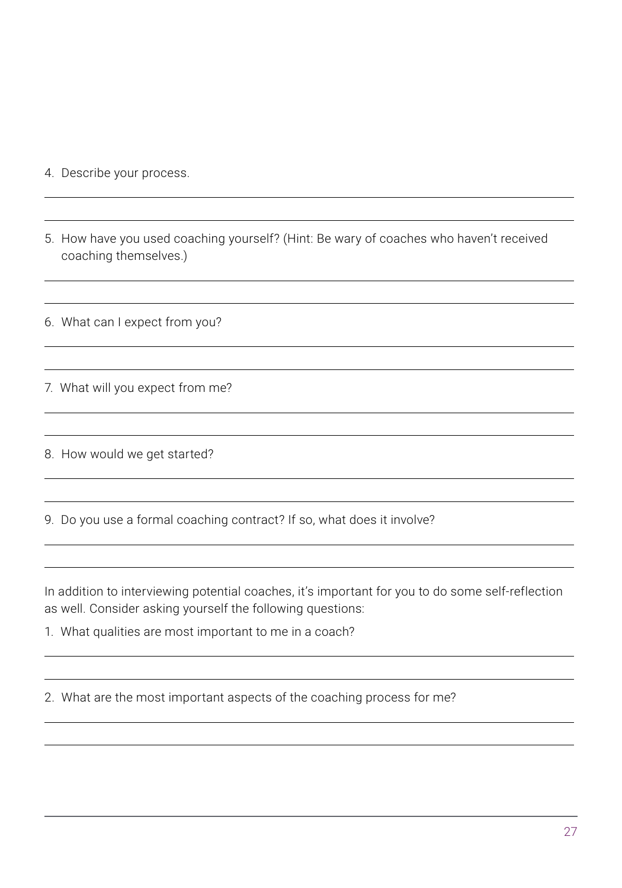4. Describe your process.

 $\overline{a}$ 

 $\overline{a}$ 

 $\overline{a}$ 

5. How have you used coaching yourself? (Hint: Be wary of coaches who haven't received coaching themselves.)

 $\overline{a}$ 

 $\overline{a}$ 

 $\overline{a}$  $\overline{a}$ 

 $\overline{a}$  $\overline{a}$ 

 $\overline{a}$  $\overline{a}$ 

 $\overline{a}$  $\overline{a}$ 

 $\overline{a}$ 

 $\overline{a}$  $\overline{a}$ 

6. What can I expect from you?

7. What will you expect from me?

8. How would we get started?

9. Do you use a formal coaching contract? If so, what does it involve?

In addition to interviewing potential coaches, it's important for you to do some self-reflection as well. Consider asking yourself the following questions:

1. What qualities are most important to me in a coach?

2. What are the most important aspects of the coaching process for me?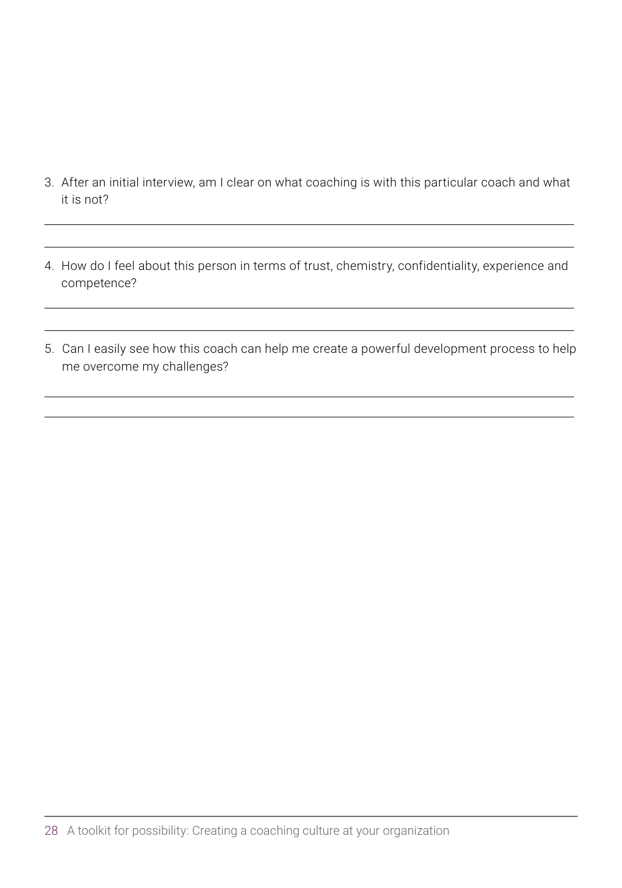3. After an initial interview, am I clear on what coaching is with this particular coach and what it is not?

 $\overline{a}$ 

 $\overline{a}$ 

 $\overline{a}$ 

4. How do I feel about this person in terms of trust, chemistry, confidentiality, experience and competence?

 $\overline{a}$ 

 $\overline{a}$ 

 $\overline{a}$ 

5. Can I easily see how this coach can help me create a powerful development process to help me overcome my challenges?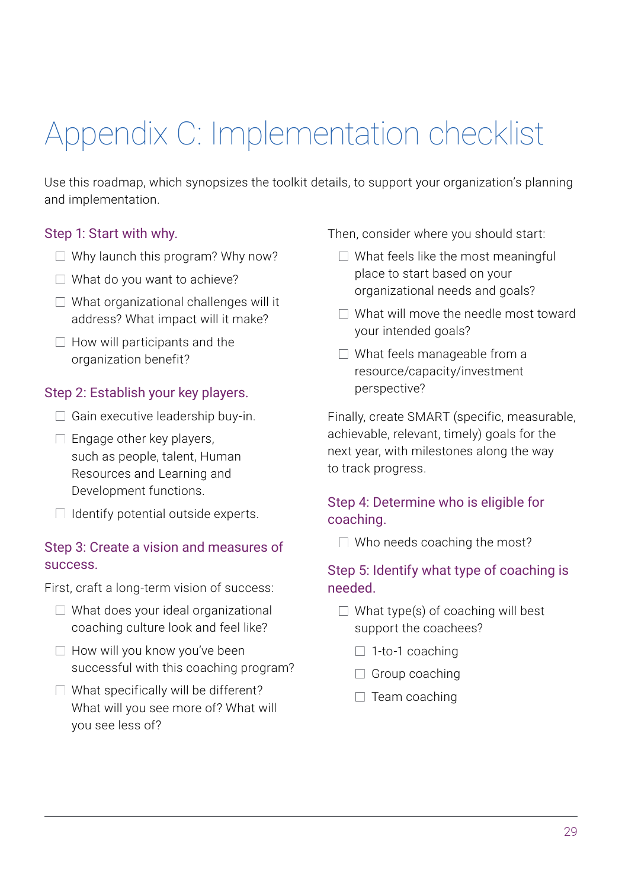## <span id="page-32-0"></span>Appendix C: Implementation checklist

Use this roadmap, which synopsizes the toolkit details, to support your organization's planning and implementation.

### Step 1: Start with why.

- $\Box$  Why launch this program? Why now?
- $\Box$  What do you want to achieve?
- $\Box$  What organizational challenges will it address? What impact will it make?
- $\Box$  How will participants and the organization benefit?

### Step 2: Establish your key players.

- $\Box$  Gain executive leadership buy-in.
- $\Box$  Engage other key players, such as people, talent, Human Resources and Learning and Development functions.
- $\Box$  Identify potential outside experts.

### Step 3: Create a vision and measures of success.

First, craft a long-term vision of success:

- $\Box$  What does your ideal organizational coaching culture look and feel like?
- $\Box$  How will you know you've been successful with this coaching program?
- $\Box$  What specifically will be different? What will you see more of? What will you see less of?

Then, consider where you should start:

- $\Box$  What feels like the most meaningful place to start based on your organizational needs and goals?
- $\Box$  What will move the needle most toward your intended goals?
- □ What feels manageable from a resource/capacity/investment perspective?

Finally, create SMART (specific, measurable, achievable, relevant, timely) goals for the next year, with milestones along the way to track progress.

### Step 4: Determine who is eligible for coaching.

 $\Box$  Who needs coaching the most?

### Step 5: Identify what type of coaching is needed.

- $\Box$  What type(s) of coaching will best support the coachees?
	- $\Box$  1-to-1 coaching
	- $\Box$  Group coaching
	- $\Box$  Team coaching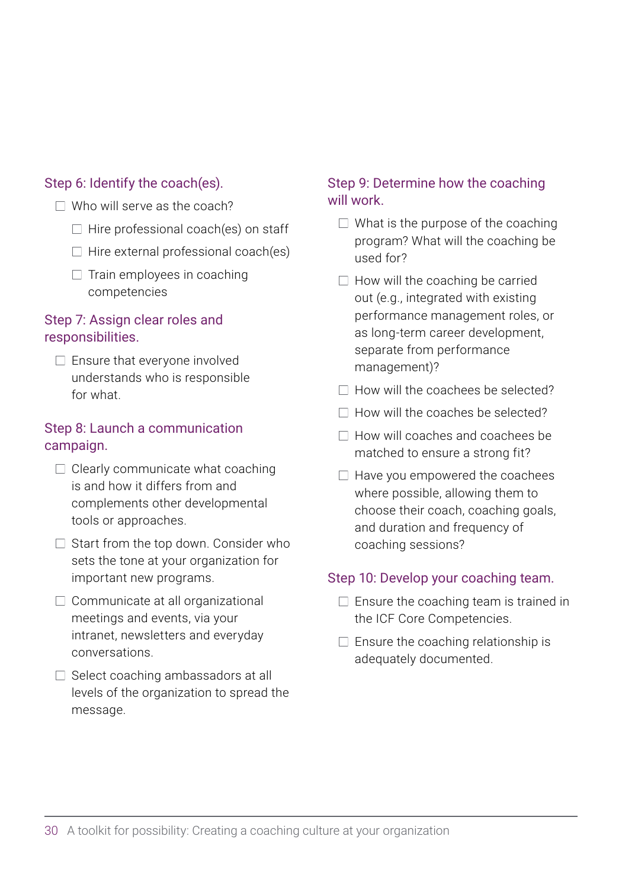### Step 6: Identify the coach(es).

- $\Box$  Who will serve as the coach?
	- $\Box$  Hire professional coach(es) on staff
	- $\Box$  Hire external professional coach(es)
	- $\Box$  Train employees in coaching competencies

### Step 7: Assign clear roles and responsibilities.

 $\Box$  Ensure that everyone involved understands who is responsible for what.

### Step 8: Launch a communication campaign.

- $\Box$  Clearly communicate what coaching is and how it differs from and complements other developmental tools or approaches.
- $\Box$  Start from the top down. Consider who sets the tone at your organization for important new programs.
- $\Box$  Communicate at all organizational meetings and events, via your intranet, newsletters and everyday conversations.
- $\Box$  Select coaching ambassadors at all levels of the organization to spread the message.

### Step 9: Determine how the coaching will work.

- $\Box$  What is the purpose of the coaching program? What will the coaching be used for?
- $\Box$  How will the coaching be carried out (e.g., integrated with existing performance management roles, or as long-term career development, separate from performance management)?
- $\Box$  How will the coachees be selected?
- $\Box$  How will the coaches be selected?
- $\Box$  How will coaches and coachees be matched to ensure a strong fit?
- $\Box$  Have you empowered the coachees where possible, allowing them to choose their coach, coaching goals, and duration and frequency of coaching sessions?

### Step 10: Develop your coaching team.

- $\Box$  Ensure the coaching team is trained in the ICF Core Competencies.
- $\Box$  Ensure the coaching relationship is adequately documented.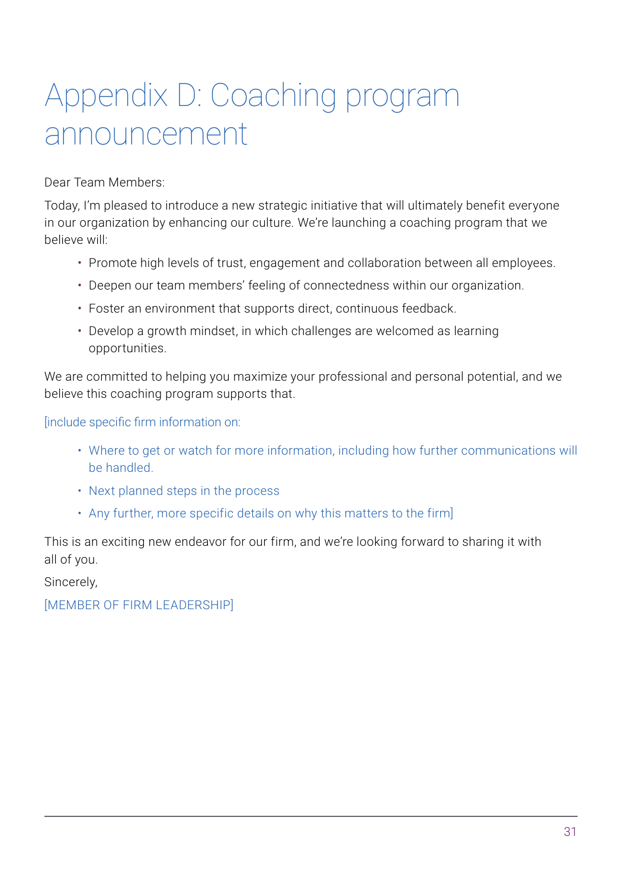## <span id="page-34-0"></span>Appendix D: Coaching program announcement

Dear Team Members:

Today, I'm pleased to introduce a new strategic initiative that will ultimately benefit everyone in our organization by enhancing our culture. We're launching a coaching program that we believe will:

- Promote high levels of trust, engagement and collaboration between all employees.
- Deepen our team members' feeling of connectedness within our organization.
- Foster an environment that supports direct, continuous feedback.
- Develop a growth mindset, in which challenges are welcomed as learning opportunities.

We are committed to helping you maximize your professional and personal potential, and we believe this coaching program supports that.

[include specific firm information on:

- Where to get or watch for more information, including how further communications will be handled.
- Next planned steps in the process
- Any further, more specific details on why this matters to the firm]

This is an exciting new endeavor for our firm, and we're looking forward to sharing it with all of you.

Sincerely,

[MEMBER OF FIRM LEADERSHIP]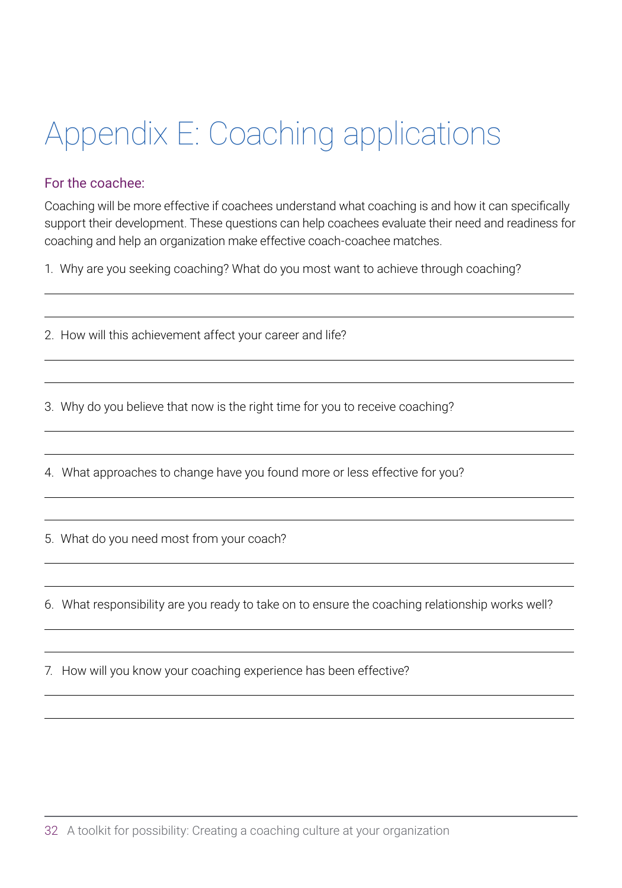## <span id="page-35-0"></span>Appendix E: Coaching applications

### For the coachee:

 $\overline{a}$ 

Coaching will be more effective if coachees understand what coaching is and how it can specifically support their development. These questions can help coachees evaluate their need and readiness for coaching and help an organization make effective coach-coachee matches.

 $\overline{a}$ 

 $\overline{a}$  $\overline{a}$ 

 $\overline{a}$  $\overline{a}$ 

 $\overline{a}$  $\overline{a}$ 

 $\overline{a}$  $\overline{a}$ 

 $\overline{a}$  $\overline{a}$ 

 $\overline{a}$  $\overline{a}$ 

1. Why are you seeking coaching? What do you most want to achieve through coaching?

2. How will this achievement affect your career and life?

3. Why do you believe that now is the right time for you to receive coaching?

4. What approaches to change have you found more or less effective for you?

5. What do you need most from your coach?

6. What responsibility are you ready to take on to ensure the coaching relationship works well?

7. How will you know your coaching experience has been effective?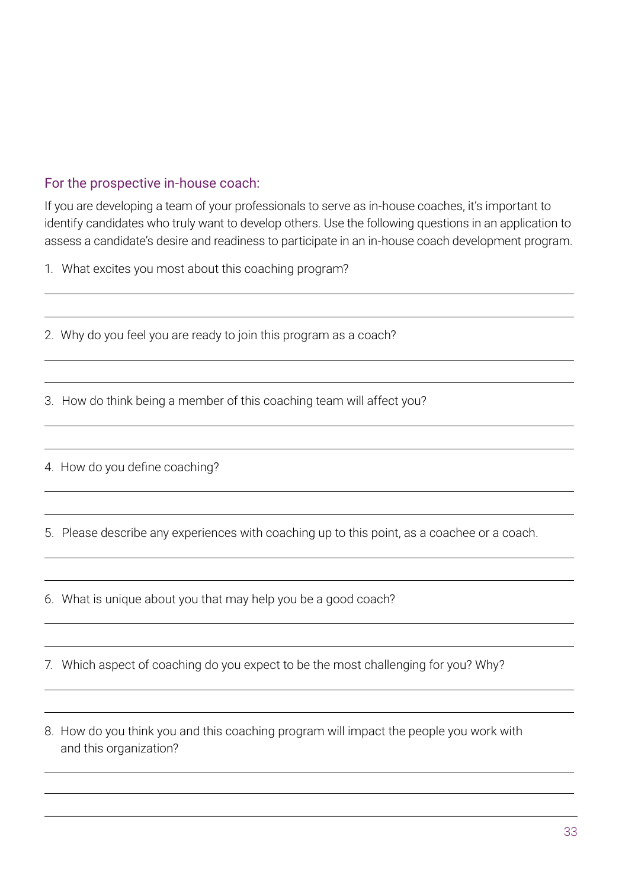### For the prospective in-house coach:

If you are developing a team of your professionals to serve as in-house coaches, it's important to identify candidates who truly want to develop others. Use the following questions in an application to assess a candidate's desire and readiness to participate in an in-house coach development program.

 $\overline{a}$ 

 $\overline{a}$  $\overline{a}$ 

 $\overline{a}$  $\overline{a}$ 

 $\overline{a}$  $\overline{a}$ 

 $\overline{a}$  $\overline{a}$ 

 $\overline{a}$  $\overline{a}$ 

 $\overline{a}$  $\overline{a}$ 

 $\overline{a}$ 

1. What excites you most about this coaching program?

2. Why do you feel you are ready to join this program as a coach?

3. How do think being a member of this coaching team will affect you?

4. How do you define coaching?

 $\overline{a}$ 

 $\overline{a}$ 

5. Please describe any experiences with coaching up to this point, as a coachee or a coach.

6. What is unique about you that may help you be a good coach?

7. Which aspect of coaching do you expect to be the most challenging for you? Why?

8. How do you think you and this coaching program will impact the people you work with and this organization?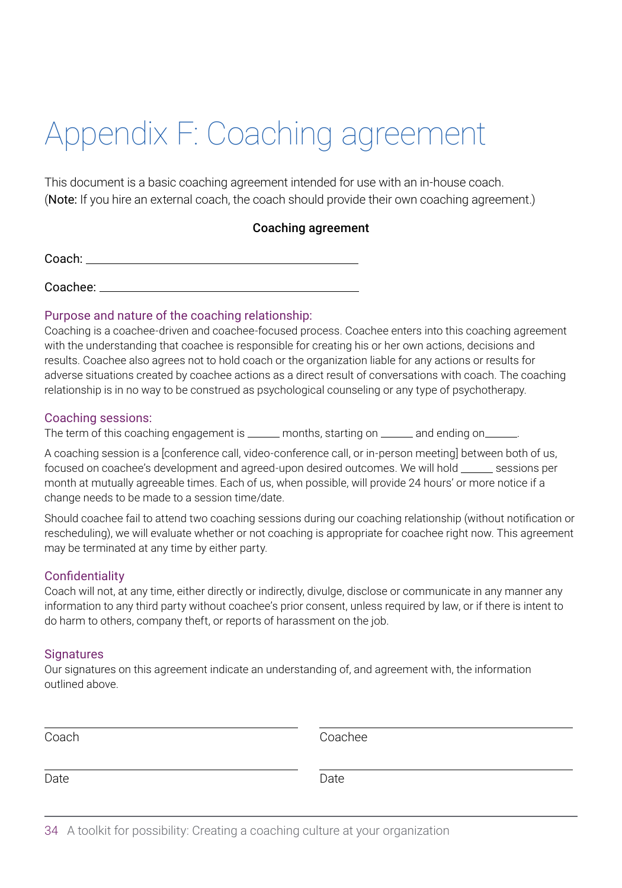## <span id="page-37-0"></span>Appendix F: Coaching agreement

This document is a basic coaching agreement intended for use with an in-house coach. (Note: If you hire an external coach, the coach should provide their own coaching agreement.)

### Coaching agreement

| Coach: |  |  |  |
|--------|--|--|--|
|        |  |  |  |
|        |  |  |  |

Coachee:

### Purpose and nature of the coaching relationship:

Coaching is a coachee-driven and coachee-focused process. Coachee enters into this coaching agreement with the understanding that coachee is responsible for creating his or her own actions, decisions and results. Coachee also agrees not to hold coach or the organization liable for any actions or results for adverse situations created by coachee actions as a direct result of conversations with coach. The coaching relationship is in no way to be construed as psychological counseling or any type of psychotherapy.

### Coaching sessions:

The term of this coaching engagement is \_\_\_\_\_ months, starting on \_\_\_\_\_ and ending on \_\_\_

A coaching session is a [conference call, video-conference call, or in-person meeting] between both of us, focused on coachee's development and agreed-upon desired outcomes. We will hold \_\_\_\_\_ sessions per month at mutually agreeable times. Each of us, when possible, will provide 24 hours' or more notice if a change needs to be made to a session time/date.

Should coachee fail to attend two coaching sessions during our coaching relationship (without notification or rescheduling), we will evaluate whether or not coaching is appropriate for coachee right now. This agreement may be terminated at any time by either party.

### **Confidentiality**

Coach will not, at any time, either directly or indirectly, divulge, disclose or communicate in any manner any information to any third party without coachee's prior consent, unless required by law, or if there is intent to do harm to others, company theft, or reports of harassment on the job.

### **Signatures**

Our signatures on this agreement indicate an understanding of, and agreement with, the information outlined above.

| aс |  |
|----|--|

Coach Coachee

Date **Date** Date **Date** Date **Date** 

 $\overline{a}$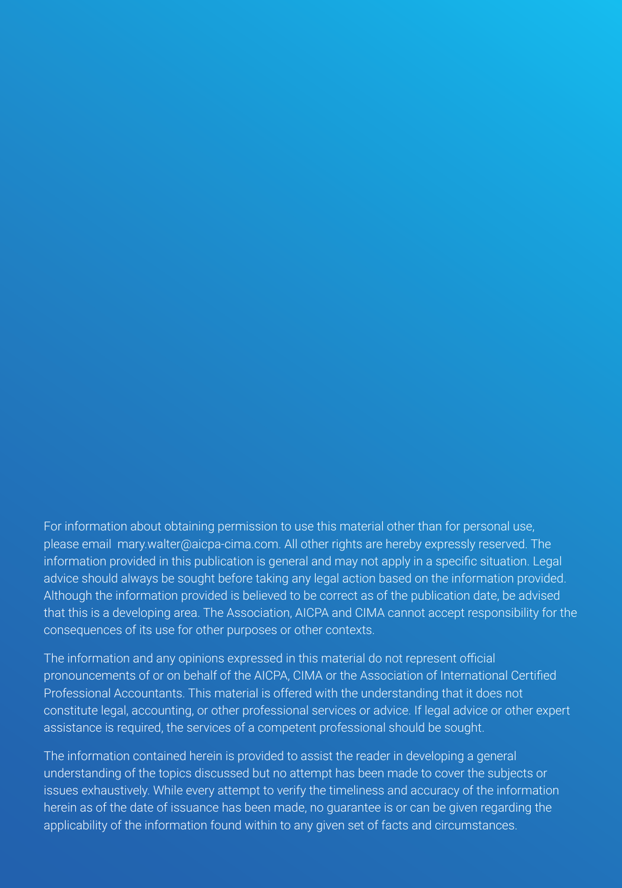For information about obtaining permission to use this material other than for personal use, please email mary.walter@aicpa-cima.com. All other rights are hereby expressly reserved. The information provided in this publication is general and may not apply in a specific situation. Legal advice should always be sought before taking any legal action based on the information provided. Although the information provided is believed to be correct as of the publication date, be advised that this is a developing area. The Association, AICPA and CIMA cannot accept responsibility for the consequences of its use for other purposes or other contexts.

The information and any opinions expressed in this material do not represent official pronouncements of or on behalf of the AICPA, CIMA or the Association of International Certified Professional Accountants. This material is offered with the understanding that it does not constitute legal, accounting, or other professional services or advice. If legal advice or other expert assistance is required, the services of a competent professional should be sought.

The information contained herein is provided to assist the reader in developing a general understanding of the topics discussed but no attempt has been made to cover the subjects or issues exhaustively. While every attempt to verify the timeliness and accuracy of the information herein as of the date of issuance has been made, no guarantee is or can be given regarding the applicability of the information found within to any given set of facts and circumstances.